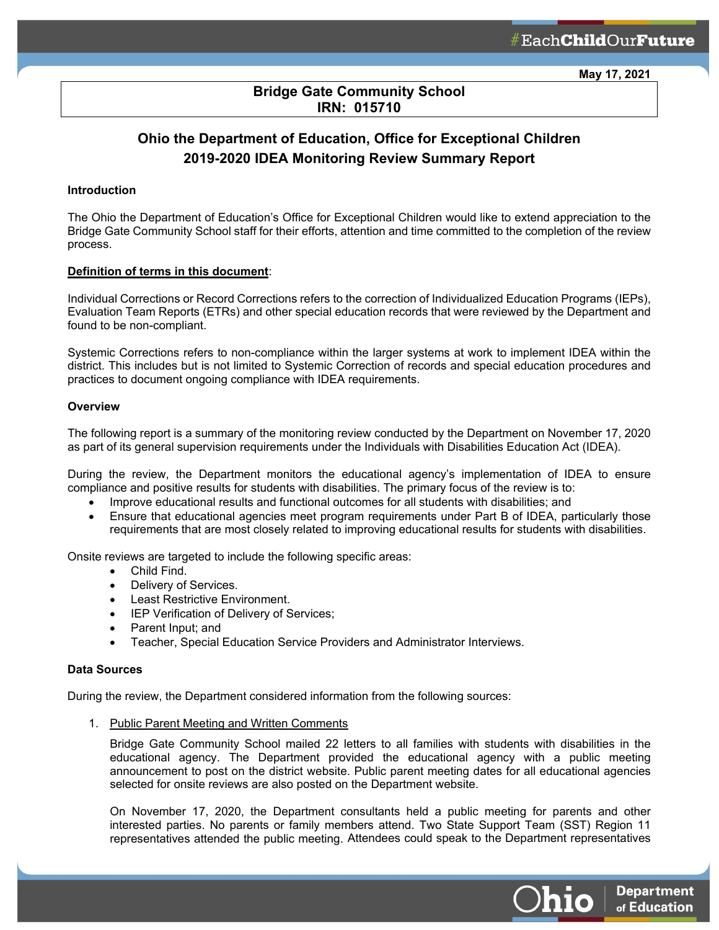# **Bridge Gate Community School IRN: 015710**

ł

# **Ohio the Department of Education, Office for Exceptional Children 2019-2020 IDEA Monitoring Review Summary Report**

### **Introduction**

The Ohio the Department of Education's Office for Exceptional Children would like to extend appreciation to the Bridge Gate Community School staff for their efforts, attention and time committed to the completion of the review process.

#### **Definition of terms in this document**:

Individual Corrections or Record Corrections refers to the correction of Individualized Education Programs (IEPs), Evaluation Team Reports (ETRs) and other special education records that were reviewed by the Department and found to be non-compliant.

Systemic Corrections refers to non-compliance within the larger systems at work to implement IDEA within the district. This includes but is not limited to Systemic Correction of records and special education procedures and practices to document ongoing compliance with IDEA requirements.

#### **Overview**

The following report is a summary of the monitoring review conducted by the Department on November 17, 2020 as part of its general supervision requirements under the Individuals with Disabilities Education Act (IDEA).

During the review, the Department monitors the educational agency's implementation of IDEA to ensure compliance and positive results for students with disabilities. The primary focus of the review is to:

- Improve educational results and functional outcomes for all students with disabilities; and
- Ensure that educational agencies meet program requirements under Part B of IDEA, particularly those requirements that are most closely related to improving educational results for students with disabilities.

Onsite reviews are targeted to include the following specific areas:

- Child Find.
- Delivery of Services.
- Least Restrictive Environment.
- IEP Verification of Delivery of Services;
- Parent Input; and
- Teacher, Special Education Service Providers and Administrator Interviews.

#### **Data Sources**

During the review, the Department considered information from the following sources:

1. Public Parent Meeting and Written Comments

Bridge Gate Community School mailed 22 letters to all families with students with disabilities in the educational agency. The Department provided the educational agency with a public meeting announcement to post on the district website. Public parent meeting dates for all educational agencies selected for onsite reviews are also posted on the Department website.

On November 17, 2020, the Department consultants held a public meeting for parents and other interested parties. No parents or family members attend. Two State Support Team (SST) Region 11 representatives attended the public meeting. Attendees could speak to the Department representatives

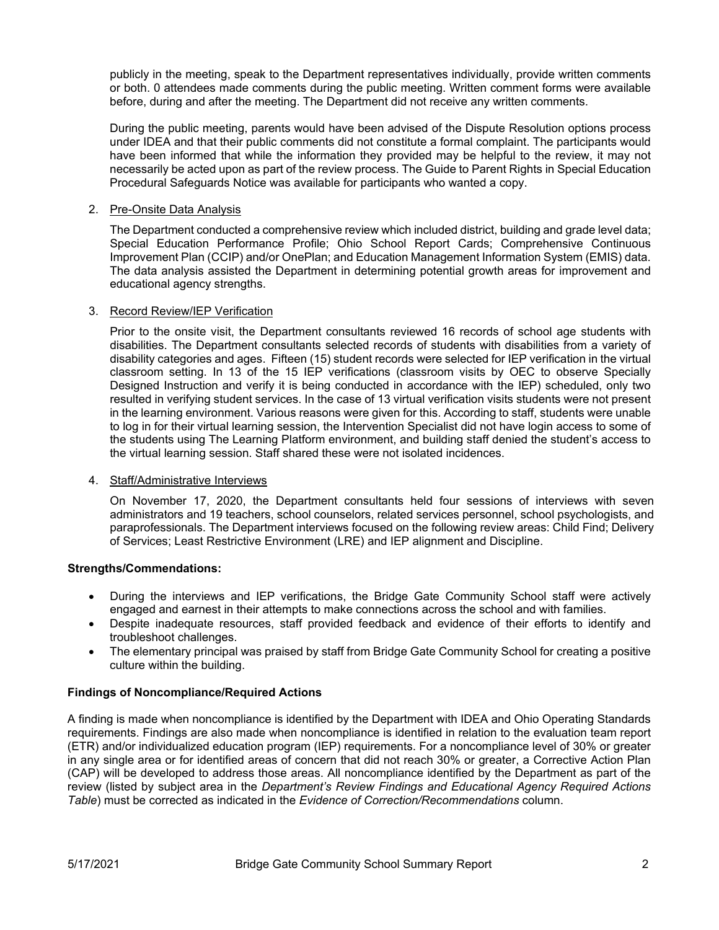publicly in the meeting, speak to the Department representatives individually, provide written comments or both. 0 attendees made comments during the public meeting. Written comment forms were available before, during and after the meeting. The Department did not receive any written comments.

During the public meeting, parents would have been advised of the Dispute Resolution options process under IDEA and that their public comments did not constitute a formal complaint. The participants would have been informed that while the information they provided may be helpful to the review, it may not necessarily be acted upon as part of the review process. The Guide to Parent Rights in Special Education Procedural Safeguards Notice was available for participants who wanted a copy.

### 2. Pre-Onsite Data Analysis

The Department conducted a comprehensive review which included district, building and grade level data; Special Education Performance Profile; Ohio School Report Cards; Comprehensive Continuous Improvement Plan (CCIP) and/or OnePlan; and Education Management Information System (EMIS) data. The data analysis assisted the Department in determining potential growth areas for improvement and educational agency strengths.

### 3. Record Review/IEP Verification

Prior to the onsite visit, the Department consultants reviewed 16 records of school age students with disabilities. The Department consultants selected records of students with disabilities from a variety of disability categories and ages. Fifteen (15) student records were selected for IEP verification in the virtual classroom setting. In 13 of the 15 IEP verifications (classroom visits by OEC to observe Specially Designed Instruction and verify it is being conducted in accordance with the IEP) scheduled, only two resulted in verifying student services. In the case of 13 virtual verification visits students were not present in the learning environment. Various reasons were given for this. According to staff, students were unable to log in for their virtual learning session, the Intervention Specialist did not have login access to some of the students using The Learning Platform environment, and building staff denied the student's access to the virtual learning session. Staff shared these were not isolated incidences.

### 4. Staff/Administrative Interviews

On November 17, 2020, the Department consultants held four sessions of interviews with seven administrators and 19 teachers, school counselors, related services personnel, school psychologists, and paraprofessionals. The Department interviews focused on the following review areas: Child Find; Delivery of Services; Least Restrictive Environment (LRE) and IEP alignment and Discipline.

### **Strengths/Commendations:**

- During the interviews and IEP verifications, the Bridge Gate Community School staff were actively engaged and earnest in their attempts to make connections across the school and with families.
- Despite inadequate resources, staff provided feedback and evidence of their efforts to identify and troubleshoot challenges.
- The elementary principal was praised by staff from Bridge Gate Community School for creating a positive culture within the building.

### **Findings of Noncompliance/Required Actions**

A finding is made when noncompliance is identified by the Department with IDEA and Ohio Operating Standards requirements. Findings are also made when noncompliance is identified in relation to the evaluation team report (ETR) and/or individualized education program (IEP) requirements. For a noncompliance level of 30% or greater in any single area or for identified areas of concern that did not reach 30% or greater, a Corrective Action Plan (CAP) will be developed to address those areas. All noncompliance identified by the Department as part of the review (listed by subject area in the *Department's Review Findings and Educational Agency Required Actions Table*) must be corrected as indicated in the *Evidence of Correction/Recommendations* column.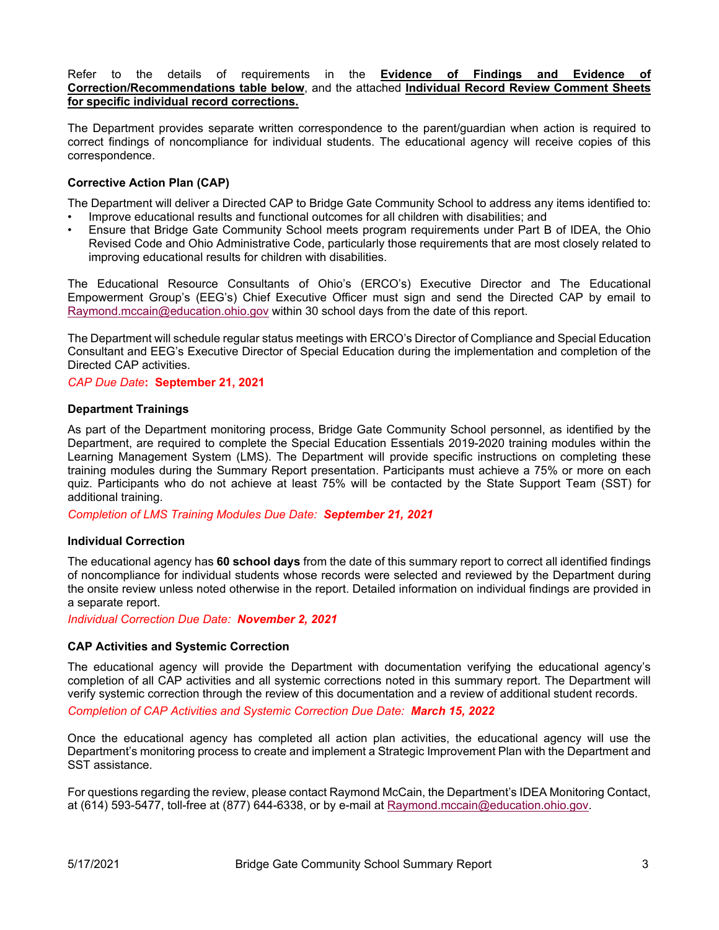Refer to the details of requirements in the **Evidence of Findings and Evidence of Correction/Recommendations table below**, and the attached **Individual Record Review Comment Sheets for specific individual record corrections.**

The Department provides separate written correspondence to the parent/guardian when action is required to correct findings of noncompliance for individual students. The educational agency will receive copies of this correspondence.

### **Corrective Action Plan (CAP)**

The Department will deliver a Directed CAP to Bridge Gate Community School to address any items identified to:

- Improve educational results and functional outcomes for all children with disabilities; and
- Ensure that Bridge Gate Community School meets program requirements under Part B of IDEA, the Ohio Revised Code and Ohio Administrative Code, particularly those requirements that are most closely related to improving educational results for children with disabilities.

The Educational Resource Consultants of Ohio's (ERCO's) Executive Director and The Educational Empowerment Group's (EEG's) Chief Executive Officer must sign and send the Directed CAP by email to [Raymond.mccain@education.ohio.gov](mailto:Raymond.mccain@education.ohio.gov) within 30 school days from the date of this report.

The Department will schedule regular status meetings with ERCO's Director of Compliance and Special Education Consultant and EEG's Executive Director of Special Education during the implementation and completion of the Directed CAP activities.

#### *CAP Due Date***: September 21, 2021**

#### **Department Trainings**

As part of the Department monitoring process, Bridge Gate Community School personnel, as identified by the Department, are required to complete the Special Education Essentials 2019-2020 training modules within the Learning Management System (LMS). The Department will provide specific instructions on completing these training modules during the Summary Report presentation. Participants must achieve a 75% or more on each quiz. Participants who do not achieve at least 75% will be contacted by the State Support Team (SST) for additional training.

*Completion of LMS Training Modules Due Date: September 21, 2021*

### **Individual Correction**

The educational agency has **60 school days** from the date of this summary report to correct all identified findings of noncompliance for individual students whose records were selected and reviewed by the Department during the onsite review unless noted otherwise in the report. Detailed information on individual findings are provided in a separate report.

*Individual Correction Due Date: November 2, 2021*

### **CAP Activities and Systemic Correction**

The educational agency will provide the Department with documentation verifying the educational agency's completion of all CAP activities and all systemic corrections noted in this summary report. The Department will verify systemic correction through the review of this documentation and a review of additional student records. *Completion of CAP Activities and Systemic Correction Due Date: March 15, 2022*

Once the educational agency has completed all action plan activities, the educational agency will use the Department's monitoring process to create and implement a Strategic Improvement Plan with the Department and SST assistance.

For questions regarding the review, please contact Raymond McCain, the Department's IDEA Monitoring Contact, at (614) 593-5477, toll-free at (877) 644-6338, or by e-mail at [Raymond.mccain@education.ohio.gov.](mailto:Raymond.mccain@education.ohio.gov)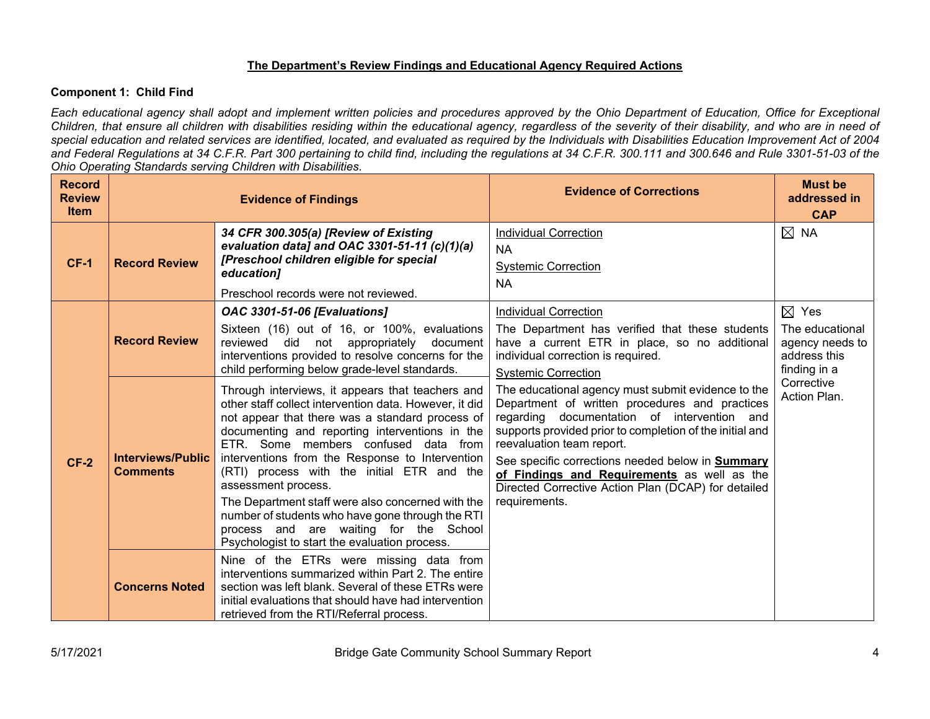# **The Department's Review Findings and Educational Agency Required Actions**

### **Component 1: Child Find**

*Each educational agency shall adopt and implement written policies and procedures approved by the Ohio Department of Education, Office for Exceptional Children, that ensure all children with disabilities residing within the educational agency, regardless of the severity of their disability, and who are in need of special education and related services are identified, located, and evaluated as required by the Individuals with Disabilities Education Improvement Act of 2004 and Federal Regulations at 34 C.F.R. Part 300 pertaining to child find, including the regulations at 34 C.F.R. 300.111 and 300.646 and Rule 3301-51-03 of the Ohio Operating Standards serving Children with Disabilities.* 

| <b>Record</b><br><b>Review</b><br><b>Item</b> |                                             | <b>Evidence of Findings</b>                                                                                                                                                                                                                                                                                                                                                                                                                                                                                                                                                         | <b>Evidence of Corrections</b>                                                                                                                                                                                                                                                                                                                                                                                                 | <b>Must be</b><br>addressed in<br><b>CAP</b>                                          |
|-----------------------------------------------|---------------------------------------------|-------------------------------------------------------------------------------------------------------------------------------------------------------------------------------------------------------------------------------------------------------------------------------------------------------------------------------------------------------------------------------------------------------------------------------------------------------------------------------------------------------------------------------------------------------------------------------------|--------------------------------------------------------------------------------------------------------------------------------------------------------------------------------------------------------------------------------------------------------------------------------------------------------------------------------------------------------------------------------------------------------------------------------|---------------------------------------------------------------------------------------|
| $CF-1$                                        | <b>Record Review</b>                        | 34 CFR 300.305(a) [Review of Existing<br>evaluation data] and OAC 3301-51-11 (c)(1)(a)<br>[Preschool children eligible for special<br>education]<br>Preschool records were not reviewed.                                                                                                                                                                                                                                                                                                                                                                                            | <b>Individual Correction</b><br>NA.<br><b>Systemic Correction</b><br><b>NA</b>                                                                                                                                                                                                                                                                                                                                                 | $\boxtimes$ NA                                                                        |
|                                               | <b>Record Review</b>                        | <b>OAC 3301-51-06 [Evaluations]</b><br>Sixteen (16) out of 16, or 100%, evaluations<br>reviewed did not appropriately document<br>interventions provided to resolve concerns for the<br>child performing below grade-level standards.                                                                                                                                                                                                                                                                                                                                               | <b>Individual Correction</b><br>The Department has verified that these students<br>have a current ETR in place, so no additional<br>individual correction is required.<br><b>Systemic Correction</b>                                                                                                                                                                                                                           | $\boxtimes$ Yes<br>The educational<br>agency needs to<br>address this<br>finding in a |
| $CF-2$                                        | <b>Interviews/Public</b><br><b>Comments</b> | Through interviews, it appears that teachers and<br>other staff collect intervention data. However, it did<br>not appear that there was a standard process of<br>documenting and reporting interventions in the<br>ETR. Some members confused data from<br>interventions from the Response to Intervention<br>(RTI) process with the initial ETR and the<br>assessment process.<br>The Department staff were also concerned with the<br>number of students who have gone through the RTI<br>process and are waiting for the School<br>Psychologist to start the evaluation process. | The educational agency must submit evidence to the<br>Department of written procedures and practices<br>regarding documentation of intervention and<br>supports provided prior to completion of the initial and<br>reevaluation team report.<br>See specific corrections needed below in <b>Summary</b><br>of Findings and Requirements as well as the<br>Directed Corrective Action Plan (DCAP) for detailed<br>requirements. | Corrective<br>Action Plan.                                                            |
|                                               | <b>Concerns Noted</b>                       | Nine of the ETRs were missing data from<br>interventions summarized within Part 2. The entire<br>section was left blank. Several of these ETRs were<br>initial evaluations that should have had intervention<br>retrieved from the RTI/Referral process.                                                                                                                                                                                                                                                                                                                            |                                                                                                                                                                                                                                                                                                                                                                                                                                |                                                                                       |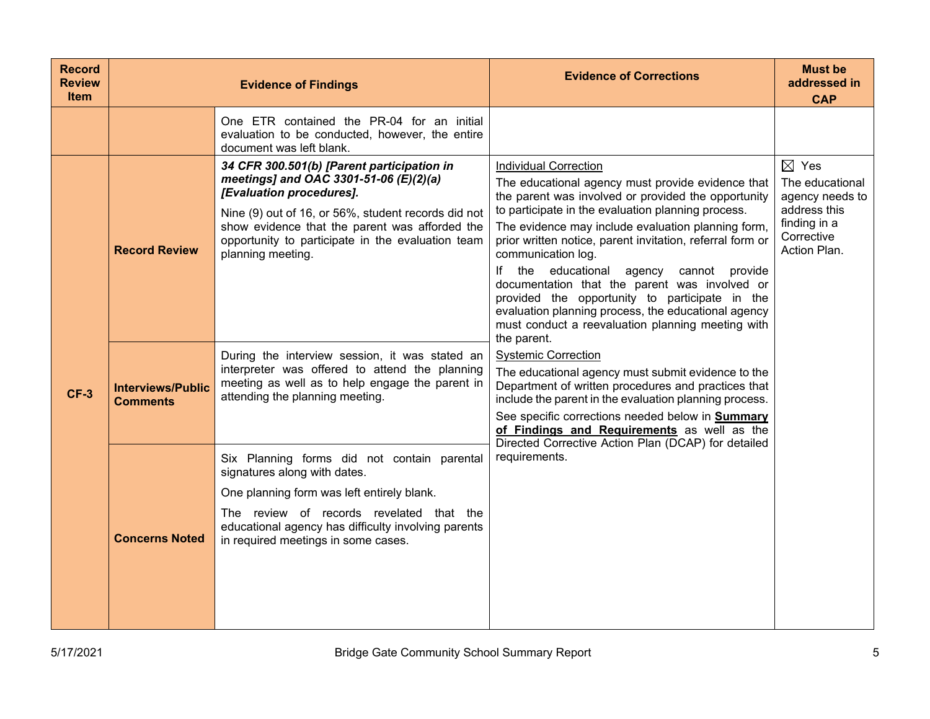| <b>Record</b><br><b>Review</b><br><b>Item</b> |                                             | <b>Evidence of Findings</b>                                                                                                                                                                                                                                                                         | <b>Evidence of Corrections</b>                                                                                                                                                                                                                                                                                                                                                                                                                                                                                                                                                                                          | <b>Must be</b><br>addressed in<br><b>CAP</b>                                                                        |
|-----------------------------------------------|---------------------------------------------|-----------------------------------------------------------------------------------------------------------------------------------------------------------------------------------------------------------------------------------------------------------------------------------------------------|-------------------------------------------------------------------------------------------------------------------------------------------------------------------------------------------------------------------------------------------------------------------------------------------------------------------------------------------------------------------------------------------------------------------------------------------------------------------------------------------------------------------------------------------------------------------------------------------------------------------------|---------------------------------------------------------------------------------------------------------------------|
|                                               |                                             | One ETR contained the PR-04 for an initial<br>evaluation to be conducted, however, the entire<br>document was left blank.                                                                                                                                                                           |                                                                                                                                                                                                                                                                                                                                                                                                                                                                                                                                                                                                                         |                                                                                                                     |
|                                               | <b>Record Review</b>                        | 34 CFR 300.501(b) [Parent participation in<br>meetings] and OAC 3301-51-06 (E)(2)(a)<br>[Evaluation procedures].<br>Nine (9) out of 16, or 56%, student records did not<br>show evidence that the parent was afforded the<br>opportunity to participate in the evaluation team<br>planning meeting. | <b>Individual Correction</b><br>The educational agency must provide evidence that<br>the parent was involved or provided the opportunity<br>to participate in the evaluation planning process.<br>The evidence may include evaluation planning form,<br>prior written notice, parent invitation, referral form or<br>communication log.<br>lf<br>the educational<br>agency cannot provide<br>documentation that the parent was involved or<br>provided the opportunity to participate in the<br>evaluation planning process, the educational agency<br>must conduct a reevaluation planning meeting with<br>the parent. | $\boxtimes$ Yes<br>The educational<br>agency needs to<br>address this<br>finding in a<br>Corrective<br>Action Plan. |
| $CF-3$                                        | <b>Interviews/Public</b><br><b>Comments</b> | During the interview session, it was stated an<br>interpreter was offered to attend the planning<br>meeting as well as to help engage the parent in<br>attending the planning meeting.                                                                                                              | <b>Systemic Correction</b><br>The educational agency must submit evidence to the<br>Department of written procedures and practices that<br>include the parent in the evaluation planning process.<br>See specific corrections needed below in Summary<br>of Findings and Requirements as well as the                                                                                                                                                                                                                                                                                                                    |                                                                                                                     |
|                                               | <b>Concerns Noted</b>                       | Six Planning forms did not contain parental<br>signatures along with dates.<br>One planning form was left entirely blank.<br>The review of records revelated that the<br>educational agency has difficulty involving parents<br>in required meetings in some cases.                                 | Directed Corrective Action Plan (DCAP) for detailed<br>requirements.                                                                                                                                                                                                                                                                                                                                                                                                                                                                                                                                                    |                                                                                                                     |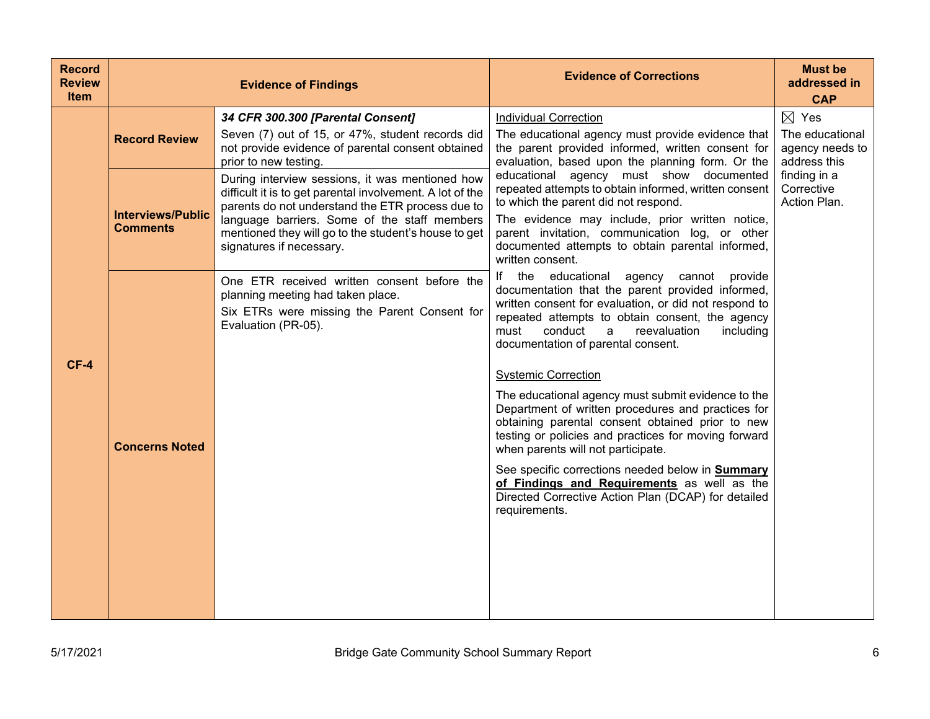| <b>Record</b><br><b>Review</b><br>Item |                                             | <b>Evidence of Findings</b>                                                                                                                                                                                                                                                                          | <b>Evidence of Corrections</b>                                                                                                                                                                                                                                                                                                                                                                                                                                                                                                                                                                                                                                                                                                                                                   | <b>Must be</b><br>addressed in<br><b>CAP</b>                          |
|----------------------------------------|---------------------------------------------|------------------------------------------------------------------------------------------------------------------------------------------------------------------------------------------------------------------------------------------------------------------------------------------------------|----------------------------------------------------------------------------------------------------------------------------------------------------------------------------------------------------------------------------------------------------------------------------------------------------------------------------------------------------------------------------------------------------------------------------------------------------------------------------------------------------------------------------------------------------------------------------------------------------------------------------------------------------------------------------------------------------------------------------------------------------------------------------------|-----------------------------------------------------------------------|
|                                        | <b>Record Review</b>                        | 34 CFR 300.300 [Parental Consent]<br>Seven (7) out of 15, or 47%, student records did<br>not provide evidence of parental consent obtained<br>prior to new testing.                                                                                                                                  | <b>Individual Correction</b><br>The educational agency must provide evidence that<br>the parent provided informed, written consent for<br>evaluation, based upon the planning form. Or the                                                                                                                                                                                                                                                                                                                                                                                                                                                                                                                                                                                       | $\boxtimes$ Yes<br>The educational<br>agency needs to<br>address this |
|                                        | <b>Interviews/Public</b><br><b>Comments</b> | During interview sessions, it was mentioned how<br>difficult it is to get parental involvement. A lot of the<br>parents do not understand the ETR process due to<br>language barriers. Some of the staff members<br>mentioned they will go to the student's house to get<br>signatures if necessary. | educational agency must show documented<br>repeated attempts to obtain informed, written consent<br>to which the parent did not respond.<br>The evidence may include, prior written notice,<br>parent invitation, communication log, or other<br>documented attempts to obtain parental informed,<br>written consent.                                                                                                                                                                                                                                                                                                                                                                                                                                                            | finding in a<br>Corrective<br>Action Plan.                            |
| $CF-4$                                 | <b>Concerns Noted</b>                       | One ETR received written consent before the<br>planning meeting had taken place.<br>Six ETRs were missing the Parent Consent for<br>Evaluation (PR-05).                                                                                                                                              | If the educational<br>agency<br>cannot provide<br>documentation that the parent provided informed,<br>written consent for evaluation, or did not respond to<br>repeated attempts to obtain consent, the agency<br>reevaluation<br>must<br>conduct<br>a<br>including<br>documentation of parental consent.<br><b>Systemic Correction</b><br>The educational agency must submit evidence to the<br>Department of written procedures and practices for<br>obtaining parental consent obtained prior to new<br>testing or policies and practices for moving forward<br>when parents will not participate.<br>See specific corrections needed below in Summary<br>of Findings and Requirements as well as the<br>Directed Corrective Action Plan (DCAP) for detailed<br>requirements. |                                                                       |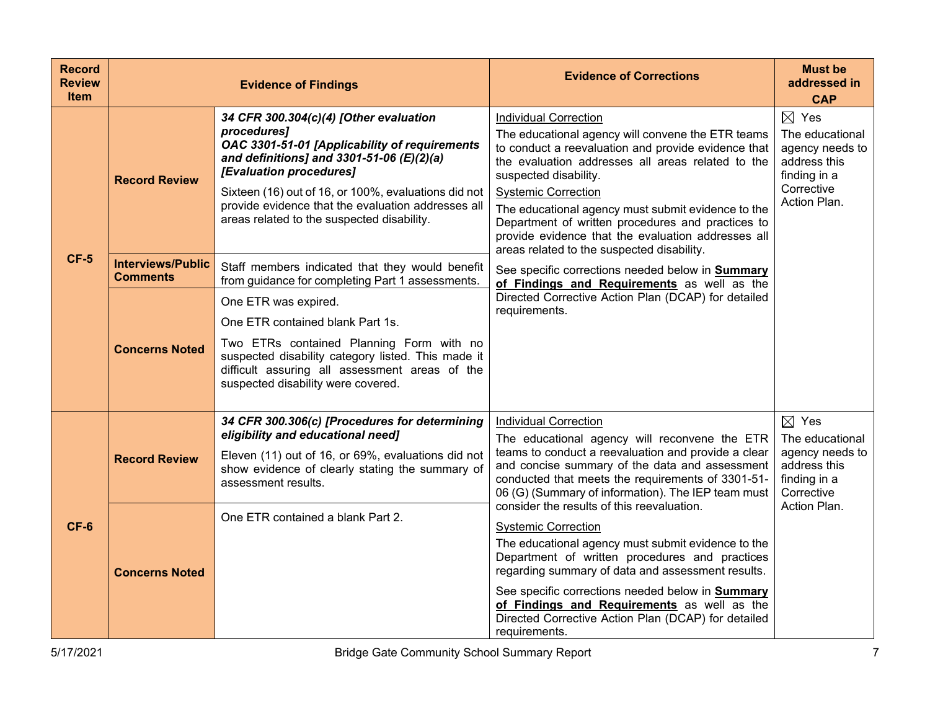| <b>Record</b><br><b>Review</b><br><b>Item</b> |                                             | <b>Evidence of Findings</b>                                                                                                                                                                                                                                                                                                                  | <b>Evidence of Corrections</b>                                                                                                                                                                                                                                                                                                                                                                                                                                      | <b>Must be</b><br>addressed in<br><b>CAP</b>                                                                        |
|-----------------------------------------------|---------------------------------------------|----------------------------------------------------------------------------------------------------------------------------------------------------------------------------------------------------------------------------------------------------------------------------------------------------------------------------------------------|---------------------------------------------------------------------------------------------------------------------------------------------------------------------------------------------------------------------------------------------------------------------------------------------------------------------------------------------------------------------------------------------------------------------------------------------------------------------|---------------------------------------------------------------------------------------------------------------------|
|                                               | <b>Record Review</b>                        | 34 CFR 300.304(c)(4) [Other evaluation<br>procedures]<br>OAC 3301-51-01 [Applicability of requirements<br>and definitions] and 3301-51-06 $(E)(2)(a)$<br>[Evaluation procedures]<br>Sixteen (16) out of 16, or 100%, evaluations did not<br>provide evidence that the evaluation addresses all<br>areas related to the suspected disability. | <b>Individual Correction</b><br>The educational agency will convene the ETR teams<br>to conduct a reevaluation and provide evidence that<br>the evaluation addresses all areas related to the<br>suspected disability.<br><b>Systemic Correction</b><br>The educational agency must submit evidence to the<br>Department of written procedures and practices to<br>provide evidence that the evaluation addresses all<br>areas related to the suspected disability. | $\boxtimes$ Yes<br>The educational<br>agency needs to<br>address this<br>finding in a<br>Corrective<br>Action Plan. |
| $CF-5$                                        | <b>Interviews/Public</b><br><b>Comments</b> | Staff members indicated that they would benefit<br>from guidance for completing Part 1 assessments.                                                                                                                                                                                                                                          | See specific corrections needed below in Summary<br>of Findings and Requirements as well as the                                                                                                                                                                                                                                                                                                                                                                     |                                                                                                                     |
|                                               | <b>Concerns Noted</b>                       | One ETR was expired.<br>One ETR contained blank Part 1s.<br>Two ETRs contained Planning Form with no<br>suspected disability category listed. This made it<br>difficult assuring all assessment areas of the<br>suspected disability were covered.                                                                                           | Directed Corrective Action Plan (DCAP) for detailed<br>requirements.                                                                                                                                                                                                                                                                                                                                                                                                |                                                                                                                     |
| $CF-6$                                        | <b>Record Review</b>                        | 34 CFR 300.306(c) [Procedures for determining<br>eligibility and educational need]<br>Eleven (11) out of 16, or 69%, evaluations did not<br>show evidence of clearly stating the summary of<br>assessment results.                                                                                                                           | <b>Individual Correction</b><br>The educational agency will reconvene the ETR<br>teams to conduct a reevaluation and provide a clear<br>and concise summary of the data and assessment<br>conducted that meets the requirements of 3301-51-<br>06 (G) (Summary of information). The IEP team must<br>consider the results of this reevaluation.                                                                                                                     | $\boxtimes$ Yes<br>The educational<br>agency needs to<br>address this<br>finding in a<br>Corrective<br>Action Plan. |
|                                               | <b>Concerns Noted</b>                       | One ETR contained a blank Part 2.                                                                                                                                                                                                                                                                                                            | <b>Systemic Correction</b><br>The educational agency must submit evidence to the<br>Department of written procedures and practices<br>regarding summary of data and assessment results.<br>See specific corrections needed below in <b>Summary</b><br>of Findings and Requirements as well as the<br>Directed Corrective Action Plan (DCAP) for detailed<br>requirements.                                                                                           |                                                                                                                     |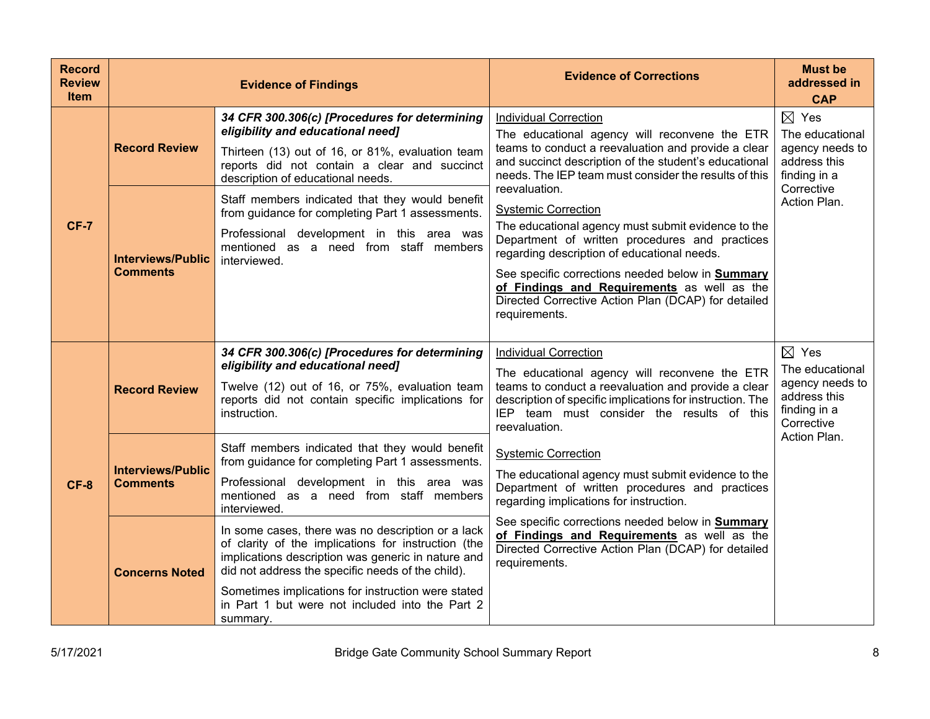| <b>Record</b><br><b>Review</b><br><b>Item</b> |                                                                     | <b>Evidence of Findings</b>                                                                                                                                                                                                                                                                                                                                                                                                               | <b>Evidence of Corrections</b>                                                                                                                                                                                                                                                                                                                                                                                                                                                                                                                                                                                                          | <b>Must be</b><br>addressed in<br><b>CAP</b>                                                                        |
|-----------------------------------------------|---------------------------------------------------------------------|-------------------------------------------------------------------------------------------------------------------------------------------------------------------------------------------------------------------------------------------------------------------------------------------------------------------------------------------------------------------------------------------------------------------------------------------|-----------------------------------------------------------------------------------------------------------------------------------------------------------------------------------------------------------------------------------------------------------------------------------------------------------------------------------------------------------------------------------------------------------------------------------------------------------------------------------------------------------------------------------------------------------------------------------------------------------------------------------------|---------------------------------------------------------------------------------------------------------------------|
| <b>CF-7</b>                                   | <b>Record Review</b><br><b>Interviews/Public</b><br><b>Comments</b> | 34 CFR 300.306(c) [Procedures for determining<br>eligibility and educational need]<br>Thirteen (13) out of 16, or 81%, evaluation team<br>reports did not contain a clear and succinct<br>description of educational needs.<br>Staff members indicated that they would benefit<br>from guidance for completing Part 1 assessments.<br>Professional development in this area was<br>mentioned as a need from staff members<br>interviewed. | <b>Individual Correction</b><br>The educational agency will reconvene the ETR<br>teams to conduct a reevaluation and provide a clear<br>and succinct description of the student's educational<br>needs. The IEP team must consider the results of this<br>reevaluation.<br><b>Systemic Correction</b><br>The educational agency must submit evidence to the<br>Department of written procedures and practices<br>regarding description of educational needs.<br>See specific corrections needed below in Summary<br>of Findings and Requirements as well as the<br>Directed Corrective Action Plan (DCAP) for detailed<br>requirements. | $\boxtimes$ Yes<br>The educational<br>agency needs to<br>address this<br>finding in a<br>Corrective<br>Action Plan. |
| $CF-8$                                        | <b>Record Review</b>                                                | 34 CFR 300.306(c) [Procedures for determining<br>eligibility and educational need]<br>Twelve (12) out of 16, or 75%, evaluation team<br>reports did not contain specific implications for<br>instruction.                                                                                                                                                                                                                                 | <b>Individual Correction</b><br>The educational agency will reconvene the ETR<br>teams to conduct a reevaluation and provide a clear<br>description of specific implications for instruction. The<br>IEP team must consider the results of this<br>reevaluation.                                                                                                                                                                                                                                                                                                                                                                        | $\boxtimes$ Yes<br>The educational<br>agency needs to<br>address this<br>finding in a<br>Corrective                 |
|                                               | <b>Interviews/Public</b><br><b>Comments</b>                         | Staff members indicated that they would benefit<br>from guidance for completing Part 1 assessments.<br>Professional development in this area was<br>mentioned as a need from staff members<br>interviewed.                                                                                                                                                                                                                                | <b>Systemic Correction</b><br>The educational agency must submit evidence to the<br>Department of written procedures and practices<br>regarding implications for instruction.                                                                                                                                                                                                                                                                                                                                                                                                                                                           | Action Plan.                                                                                                        |
|                                               | <b>Concerns Noted</b>                                               | In some cases, there was no description or a lack<br>of clarity of the implications for instruction (the<br>implications description was generic in nature and<br>did not address the specific needs of the child).<br>Sometimes implications for instruction were stated<br>in Part 1 but were not included into the Part 2<br>summary.                                                                                                  | See specific corrections needed below in <b>Summary</b><br>of Findings and Requirements as well as the<br>Directed Corrective Action Plan (DCAP) for detailed<br>requirements.                                                                                                                                                                                                                                                                                                                                                                                                                                                          |                                                                                                                     |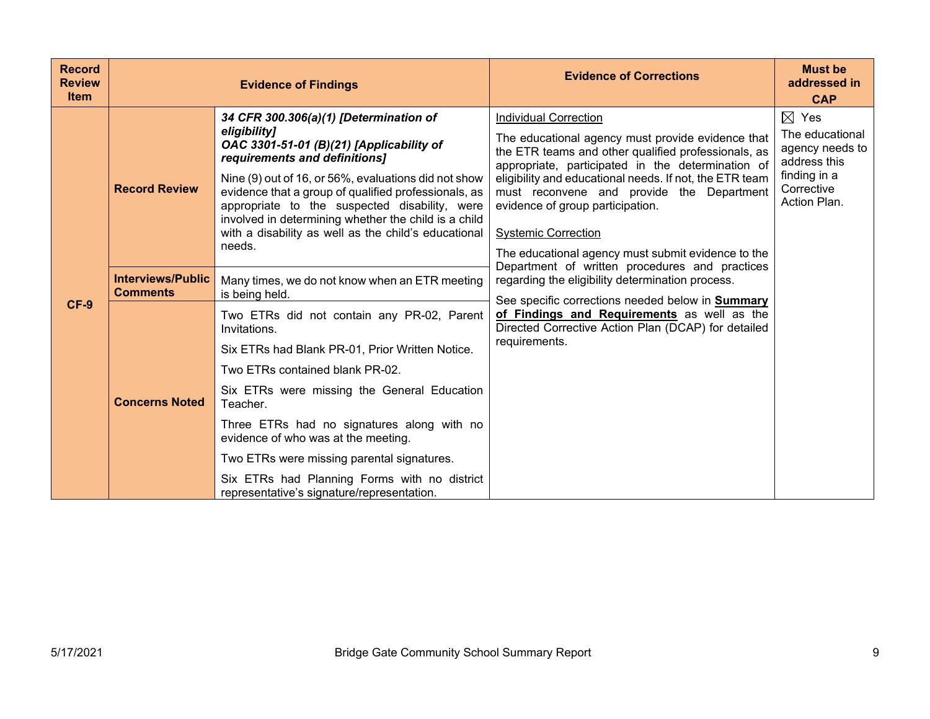| <b>Record</b><br><b>Review</b><br><b>Item</b> |                                             | <b>Evidence of Findings</b>                                                                                                                                                                                                                                                                                                                                                                                                                  | <b>Evidence of Corrections</b>                                                                                                                                                                                                                                                                                                                                                                                                                                                                                                      | <b>Must be</b><br>addressed in<br><b>CAP</b>                                                                        |
|-----------------------------------------------|---------------------------------------------|----------------------------------------------------------------------------------------------------------------------------------------------------------------------------------------------------------------------------------------------------------------------------------------------------------------------------------------------------------------------------------------------------------------------------------------------|-------------------------------------------------------------------------------------------------------------------------------------------------------------------------------------------------------------------------------------------------------------------------------------------------------------------------------------------------------------------------------------------------------------------------------------------------------------------------------------------------------------------------------------|---------------------------------------------------------------------------------------------------------------------|
| $CF-9$                                        | <b>Record Review</b>                        | 34 CFR 300.306(a)(1) [Determination of<br>eligibility]<br>OAC 3301-51-01 (B)(21) [Applicability of<br>requirements and definitions]<br>Nine (9) out of 16, or 56%, evaluations did not show<br>evidence that a group of qualified professionals, as<br>appropriate to the suspected disability, were<br>involved in determining whether the child is a child<br>with a disability as well as the child's educational<br>needs.               | <b>Individual Correction</b><br>The educational agency must provide evidence that<br>the ETR teams and other qualified professionals, as<br>appropriate, participated in the determination of<br>eligibility and educational needs. If not, the ETR team<br>must reconvene and provide the Department<br>evidence of group participation.<br><b>Systemic Correction</b><br>The educational agency must submit evidence to the<br>Department of written procedures and practices<br>regarding the eligibility determination process. | $\boxtimes$ Yes<br>The educational<br>agency needs to<br>address this<br>finding in a<br>Corrective<br>Action Plan. |
|                                               | <b>Interviews/Public</b><br><b>Comments</b> | Many times, we do not know when an ETR meeting<br>is being held.                                                                                                                                                                                                                                                                                                                                                                             |                                                                                                                                                                                                                                                                                                                                                                                                                                                                                                                                     |                                                                                                                     |
|                                               | <b>Concerns Noted</b>                       | Two ETRs did not contain any PR-02, Parent<br>Invitations.<br>Six ETRs had Blank PR-01, Prior Written Notice.<br>Two ETRs contained blank PR-02.<br>Six ETRs were missing the General Education<br>Teacher.<br>Three ETRs had no signatures along with no<br>evidence of who was at the meeting.<br>Two ETRs were missing parental signatures.<br>Six ETRs had Planning Forms with no district<br>representative's signature/representation. | See specific corrections needed below in <b>Summary</b><br>of Findings and Requirements as well as the<br>Directed Corrective Action Plan (DCAP) for detailed<br>requirements.                                                                                                                                                                                                                                                                                                                                                      |                                                                                                                     |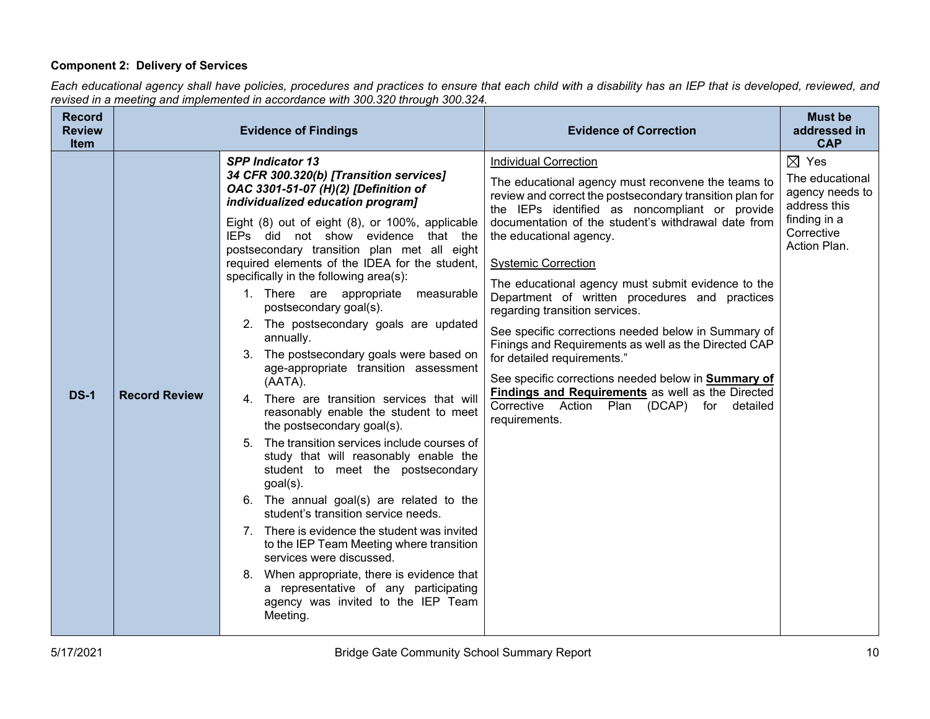# **Component 2: Delivery of Services**

*Each educational agency shall have policies, procedures and practices to ensure that each child with a disability has an IEP that is developed, reviewed, and revised in a meeting and implemented in accordance with 300.320 through 300.324.*

| <b>Record</b><br><b>Review</b><br><b>Item</b> |                      | <b>Evidence of Findings</b>                                                                                                                                                                                                                                                                                                                                                                                                                                                                                                                                                                                                                                                                                                                                                                                                                                                                                                                                                                                                                                                                                                                                                                                                                | <b>Evidence of Correction</b>                                                                                                                                                                                                                                                                                                                                                                                                                                                                                                                                                                                                                                                                                                                                                              | <b>Must be</b><br>addressed in<br><b>CAP</b>                                                                        |
|-----------------------------------------------|----------------------|--------------------------------------------------------------------------------------------------------------------------------------------------------------------------------------------------------------------------------------------------------------------------------------------------------------------------------------------------------------------------------------------------------------------------------------------------------------------------------------------------------------------------------------------------------------------------------------------------------------------------------------------------------------------------------------------------------------------------------------------------------------------------------------------------------------------------------------------------------------------------------------------------------------------------------------------------------------------------------------------------------------------------------------------------------------------------------------------------------------------------------------------------------------------------------------------------------------------------------------------|--------------------------------------------------------------------------------------------------------------------------------------------------------------------------------------------------------------------------------------------------------------------------------------------------------------------------------------------------------------------------------------------------------------------------------------------------------------------------------------------------------------------------------------------------------------------------------------------------------------------------------------------------------------------------------------------------------------------------------------------------------------------------------------------|---------------------------------------------------------------------------------------------------------------------|
| <b>DS-1</b>                                   | <b>Record Review</b> | <b>SPP Indicator 13</b><br>34 CFR 300.320(b) [Transition services]<br>OAC 3301-51-07 (H)(2) [Definition of<br>individualized education program]<br>Eight (8) out of eight (8), or 100%, applicable<br>IEPs did not show evidence that the<br>postsecondary transition plan met all eight<br>required elements of the IDEA for the student,<br>specifically in the following area(s):<br>1. There are appropriate<br>measurable<br>postsecondary goal(s).<br>2. The postsecondary goals are updated<br>annually.<br>The postsecondary goals were based on<br>3.<br>age-appropriate transition assessment<br>(AATA).<br>4. There are transition services that will<br>reasonably enable the student to meet<br>the postsecondary goal(s).<br>5. The transition services include courses of<br>study that will reasonably enable the<br>student to meet the postsecondary<br>$goal(s)$ .<br>6. The annual goal(s) are related to the<br>student's transition service needs.<br>7. There is evidence the student was invited<br>to the IEP Team Meeting where transition<br>services were discussed.<br>8. When appropriate, there is evidence that<br>a representative of any participating<br>agency was invited to the IEP Team<br>Meeting. | <b>Individual Correction</b><br>The educational agency must reconvene the teams to<br>review and correct the postsecondary transition plan for<br>the IEPs identified as noncompliant or provide<br>documentation of the student's withdrawal date from<br>the educational agency.<br><b>Systemic Correction</b><br>The educational agency must submit evidence to the<br>Department of written procedures and practices<br>regarding transition services.<br>See specific corrections needed below in Summary of<br>Finings and Requirements as well as the Directed CAP<br>for detailed requirements."<br>See specific corrections needed below in Summary of<br><b>Findings and Requirements</b> as well as the Directed<br>Corrective Action Plan (DCAP) for detailed<br>requirements. | $\boxtimes$ Yes<br>The educational<br>agency needs to<br>address this<br>finding in a<br>Corrective<br>Action Plan. |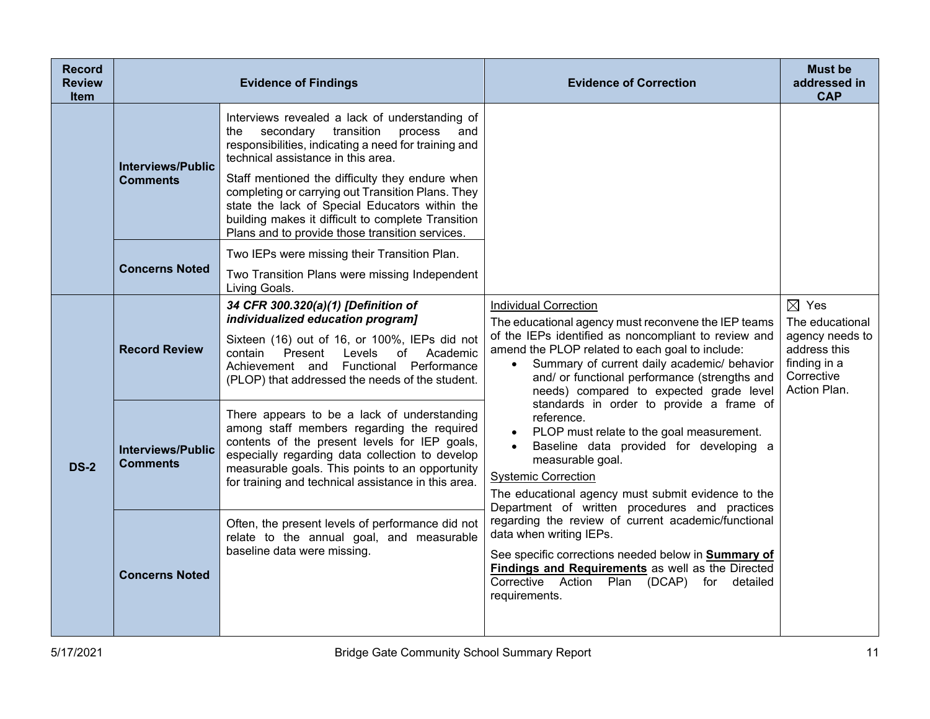| <b>Record</b><br><b>Review</b><br><b>Item</b> |                                             | <b>Evidence of Findings</b>                                                                                                                                                                                                                                                                                                                                                                                                                                         | <b>Evidence of Correction</b>                                                                                                                                                                                                                                                                                                                                                                                                                                                                                                                                                                                                                                                                                                                                                                                                                                                                                                   | <b>Must be</b><br>addressed in<br><b>CAP</b>                                                                        |
|-----------------------------------------------|---------------------------------------------|---------------------------------------------------------------------------------------------------------------------------------------------------------------------------------------------------------------------------------------------------------------------------------------------------------------------------------------------------------------------------------------------------------------------------------------------------------------------|---------------------------------------------------------------------------------------------------------------------------------------------------------------------------------------------------------------------------------------------------------------------------------------------------------------------------------------------------------------------------------------------------------------------------------------------------------------------------------------------------------------------------------------------------------------------------------------------------------------------------------------------------------------------------------------------------------------------------------------------------------------------------------------------------------------------------------------------------------------------------------------------------------------------------------|---------------------------------------------------------------------------------------------------------------------|
|                                               | <b>Interviews/Public</b><br><b>Comments</b> | Interviews revealed a lack of understanding of<br>transition<br>the<br>secondary<br>process<br>and<br>responsibilities, indicating a need for training and<br>technical assistance in this area.<br>Staff mentioned the difficulty they endure when<br>completing or carrying out Transition Plans. They<br>state the lack of Special Educators within the<br>building makes it difficult to complete Transition<br>Plans and to provide those transition services. | <b>Individual Correction</b><br>The educational agency must reconvene the IEP teams<br>of the IEPs identified as noncompliant to review and<br>amend the PLOP related to each goal to include:<br>Summary of current daily academic/ behavior<br>$\bullet$<br>and/ or functional performance (strengths and<br>needs) compared to expected grade level<br>standards in order to provide a frame of<br>reference.<br>PLOP must relate to the goal measurement.<br>Baseline data provided for developing a<br>measurable goal.<br><b>Systemic Correction</b><br>The educational agency must submit evidence to the<br>Department of written procedures and practices<br>regarding the review of current academic/functional<br>data when writing IEPs.<br>See specific corrections needed below in Summary of<br>Findings and Requirements as well as the Directed<br>Corrective Action Plan (DCAP) for detailed<br>requirements. |                                                                                                                     |
|                                               | <b>Concerns Noted</b>                       | Two IEPs were missing their Transition Plan.<br>Two Transition Plans were missing Independent<br>Living Goals.                                                                                                                                                                                                                                                                                                                                                      |                                                                                                                                                                                                                                                                                                                                                                                                                                                                                                                                                                                                                                                                                                                                                                                                                                                                                                                                 |                                                                                                                     |
| <b>DS-2</b>                                   | <b>Record Review</b>                        | 34 CFR 300.320(a)(1) [Definition of<br>individualized education program]<br>Sixteen (16) out of 16, or 100%, IEPs did not<br>Levels<br>Present<br>of<br>Academic<br>contain<br>Achievement and Functional Performance<br>(PLOP) that addressed the needs of the student.                                                                                                                                                                                            |                                                                                                                                                                                                                                                                                                                                                                                                                                                                                                                                                                                                                                                                                                                                                                                                                                                                                                                                 | $\boxtimes$ Yes<br>The educational<br>agency needs to<br>address this<br>finding in a<br>Corrective<br>Action Plan. |
|                                               | <b>Interviews/Public</b><br><b>Comments</b> | There appears to be a lack of understanding<br>among staff members regarding the required<br>contents of the present levels for IEP goals,<br>especially regarding data collection to develop<br>measurable goals. This points to an opportunity<br>for training and technical assistance in this area.                                                                                                                                                             |                                                                                                                                                                                                                                                                                                                                                                                                                                                                                                                                                                                                                                                                                                                                                                                                                                                                                                                                 |                                                                                                                     |
|                                               | <b>Concerns Noted</b>                       | Often, the present levels of performance did not<br>relate to the annual goal, and measurable<br>baseline data were missing.                                                                                                                                                                                                                                                                                                                                        |                                                                                                                                                                                                                                                                                                                                                                                                                                                                                                                                                                                                                                                                                                                                                                                                                                                                                                                                 |                                                                                                                     |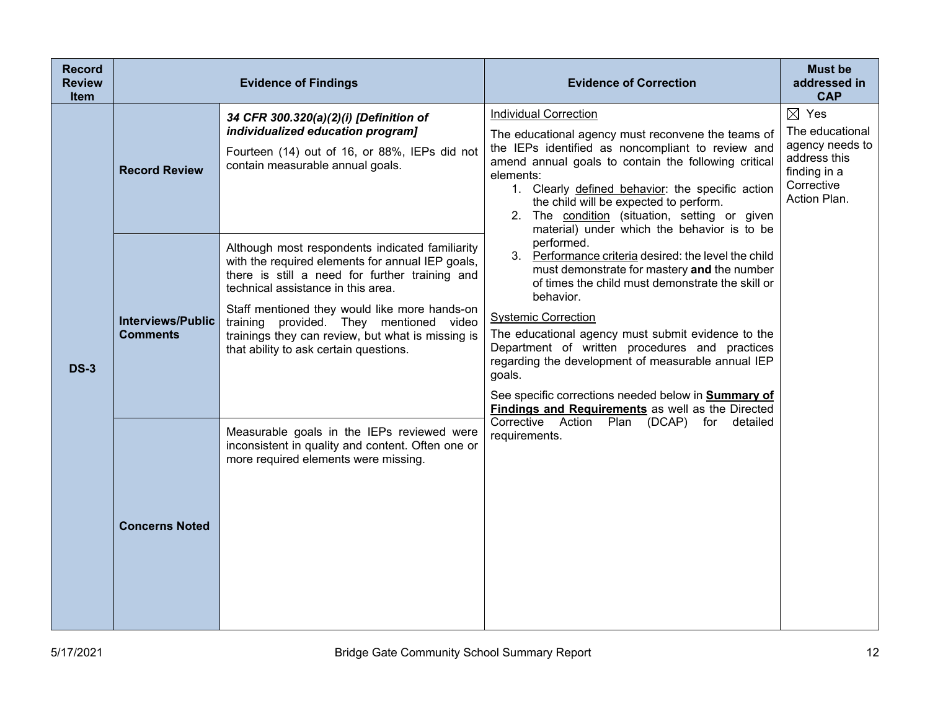| <b>Record</b><br><b>Review</b><br><b>Item</b> |                                             | <b>Evidence of Findings</b>                                                                                                                                                                                                                                                                                                                                                            | <b>Evidence of Correction</b>                                                                                                                                                                                                                                                                                                                                                                                                                                                                               | <b>Must be</b><br>addressed in<br><b>CAP</b>                                                                        |
|-----------------------------------------------|---------------------------------------------|----------------------------------------------------------------------------------------------------------------------------------------------------------------------------------------------------------------------------------------------------------------------------------------------------------------------------------------------------------------------------------------|-------------------------------------------------------------------------------------------------------------------------------------------------------------------------------------------------------------------------------------------------------------------------------------------------------------------------------------------------------------------------------------------------------------------------------------------------------------------------------------------------------------|---------------------------------------------------------------------------------------------------------------------|
| <b>DS-3</b>                                   | <b>Record Review</b>                        | 34 CFR 300.320(a)(2)(i) [Definition of<br>individualized education program]<br>Fourteen (14) out of 16, or 88%, IEPs did not<br>contain measurable annual goals.                                                                                                                                                                                                                       | <b>Individual Correction</b><br>The educational agency must reconvene the teams of<br>the IEPs identified as noncompliant to review and<br>amend annual goals to contain the following critical<br>elements:<br>1. Clearly defined behavior: the specific action<br>the child will be expected to perform.<br>2. The condition (situation, setting or given<br>material) under which the behavior is to be                                                                                                  | $\boxtimes$ Yes<br>The educational<br>agency needs to<br>address this<br>finding in a<br>Corrective<br>Action Plan. |
|                                               | <b>Interviews/Public</b><br><b>Comments</b> | Although most respondents indicated familiarity<br>with the required elements for annual IEP goals,<br>there is still a need for further training and<br>technical assistance in this area.<br>Staff mentioned they would like more hands-on<br>training provided. They mentioned video<br>trainings they can review, but what is missing is<br>that ability to ask certain questions. | performed.<br>3. Performance criteria desired: the level the child<br>must demonstrate for mastery and the number<br>of times the child must demonstrate the skill or<br>behavior.<br><b>Systemic Correction</b><br>The educational agency must submit evidence to the<br>Department of written procedures and practices<br>regarding the development of measurable annual IEP<br>goals.<br>See specific corrections needed below in Summary of<br><b>Findings and Requirements</b> as well as the Directed |                                                                                                                     |
|                                               | <b>Concerns Noted</b>                       | Measurable goals in the IEPs reviewed were<br>inconsistent in quality and content. Often one or<br>more required elements were missing.                                                                                                                                                                                                                                                | Corrective Action Plan (DCAP) for detailed<br>requirements.                                                                                                                                                                                                                                                                                                                                                                                                                                                 |                                                                                                                     |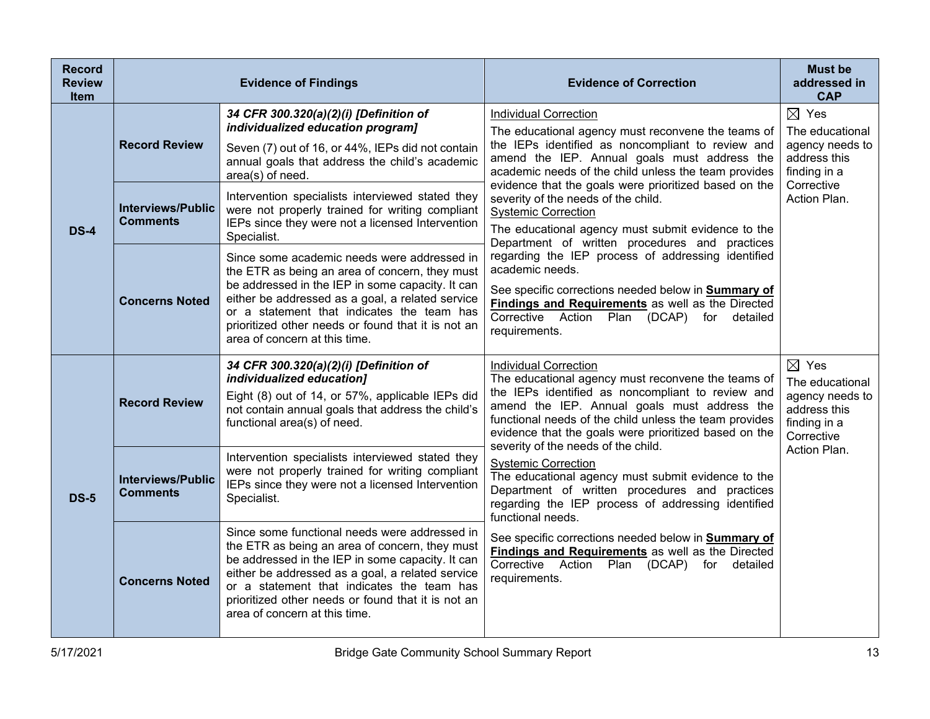| <b>Record</b><br><b>Review</b><br><b>Item</b> |                                             | <b>Evidence of Findings</b>                                                                                                                                                                                                                                                                                                                  | <b>Evidence of Correction</b>                                                                                                                                                                                                                                                                                                                                                                                                                                                                                                                                      | <b>Must be</b><br>addressed in<br><b>CAP</b>                                                        |
|-----------------------------------------------|---------------------------------------------|----------------------------------------------------------------------------------------------------------------------------------------------------------------------------------------------------------------------------------------------------------------------------------------------------------------------------------------------|--------------------------------------------------------------------------------------------------------------------------------------------------------------------------------------------------------------------------------------------------------------------------------------------------------------------------------------------------------------------------------------------------------------------------------------------------------------------------------------------------------------------------------------------------------------------|-----------------------------------------------------------------------------------------------------|
|                                               | <b>Record Review</b>                        | 34 CFR 300.320(a)(2)(i) [Definition of<br>individualized education program]<br>Seven (7) out of 16, or 44%, IEPs did not contain<br>annual goals that address the child's academic<br>area(s) of need.                                                                                                                                       | <b>Individual Correction</b><br>The educational agency must reconvene the teams of<br>the IEPs identified as noncompliant to review and<br>amend the IEP. Annual goals must address the<br>academic needs of the child unless the team provides                                                                                                                                                                                                                                                                                                                    | $\boxtimes$ Yes<br>The educational<br>agency needs to<br>address this<br>finding in a               |
| $DS-4$                                        | <b>Interviews/Public</b><br><b>Comments</b> | Intervention specialists interviewed stated they<br>were not properly trained for writing compliant<br>IEPs since they were not a licensed Intervention<br>Specialist.                                                                                                                                                                       | evidence that the goals were prioritized based on the<br>severity of the needs of the child.<br><b>Systemic Correction</b><br>The educational agency must submit evidence to the<br>Department of written procedures and practices<br>regarding the IEP process of addressing identified<br>academic needs.<br>See specific corrections needed below in <b>Summary of</b><br><b>Findings and Requirements</b> as well as the Directed<br>Corrective Action Plan (DCAP) for detailed<br>requirements.                                                               | Corrective<br>Action Plan.                                                                          |
|                                               | <b>Concerns Noted</b>                       | Since some academic needs were addressed in<br>the ETR as being an area of concern, they must<br>be addressed in the IEP in some capacity. It can<br>either be addressed as a goal, a related service<br>or a statement that indicates the team has<br>prioritized other needs or found that it is not an<br>area of concern at this time.   |                                                                                                                                                                                                                                                                                                                                                                                                                                                                                                                                                                    |                                                                                                     |
|                                               | <b>Record Review</b>                        | 34 CFR 300.320(a)(2)(i) [Definition of<br>individualized education]<br>Eight (8) out of 14, or 57%, applicable IEPs did<br>not contain annual goals that address the child's<br>functional area(s) of need.                                                                                                                                  | <b>Individual Correction</b><br>The educational agency must reconvene the teams of<br>the IEPs identified as noncompliant to review and<br>amend the IEP. Annual goals must address the<br>functional needs of the child unless the team provides<br>evidence that the goals were prioritized based on the<br>severity of the needs of the child.<br><b>Systemic Correction</b><br>The educational agency must submit evidence to the<br>Department of written procedures and practices<br>regarding the IEP process of addressing identified<br>functional needs. | $\boxtimes$ Yes<br>The educational<br>agency needs to<br>address this<br>finding in a<br>Corrective |
| <b>DS-5</b>                                   | <b>Interviews/Public</b><br><b>Comments</b> | Intervention specialists interviewed stated they<br>were not properly trained for writing compliant<br>IEPs since they were not a licensed Intervention<br>Specialist.                                                                                                                                                                       |                                                                                                                                                                                                                                                                                                                                                                                                                                                                                                                                                                    | Action Plan.                                                                                        |
|                                               | <b>Concerns Noted</b>                       | Since some functional needs were addressed in<br>the ETR as being an area of concern, they must<br>be addressed in the IEP in some capacity. It can<br>either be addressed as a goal, a related service<br>or a statement that indicates the team has<br>prioritized other needs or found that it is not an<br>area of concern at this time. | See specific corrections needed below in <b>Summary of</b><br>Findings and Requirements as well as the Directed<br>Corrective Action Plan (DCAP) for detailed<br>requirements.                                                                                                                                                                                                                                                                                                                                                                                     |                                                                                                     |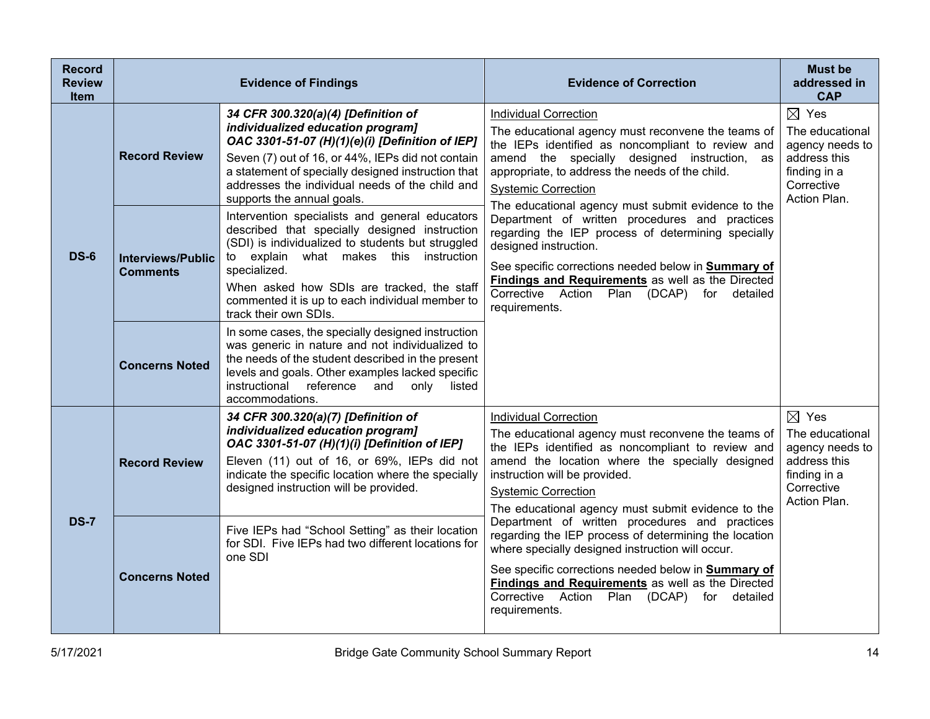| <b>Record</b><br><b>Review</b><br><b>Item</b> |                                             | <b>Evidence of Findings</b>                                                                                                                                                                                                                                                                                                              | <b>Evidence of Correction</b>                                                                                                                                                                                                                                                                                                                                                                                                                                                                                                                                                                                                              | <b>Must be</b><br>addressed in<br><b>CAP</b>                                                                        |
|-----------------------------------------------|---------------------------------------------|------------------------------------------------------------------------------------------------------------------------------------------------------------------------------------------------------------------------------------------------------------------------------------------------------------------------------------------|--------------------------------------------------------------------------------------------------------------------------------------------------------------------------------------------------------------------------------------------------------------------------------------------------------------------------------------------------------------------------------------------------------------------------------------------------------------------------------------------------------------------------------------------------------------------------------------------------------------------------------------------|---------------------------------------------------------------------------------------------------------------------|
|                                               | <b>Record Review</b>                        | 34 CFR 300.320(a)(4) [Definition of<br>individualized education program]<br>OAC 3301-51-07 (H)(1)(e)(i) [Definition of IEP]<br>Seven (7) out of 16, or 44%, IEPs did not contain<br>a statement of specially designed instruction that<br>addresses the individual needs of the child and<br>supports the annual goals.                  | <b>Individual Correction</b><br>The educational agency must reconvene the teams of<br>the IEPs identified as noncompliant to review and<br>amend the specially designed instruction, as<br>appropriate, to address the needs of the child.<br><b>Systemic Correction</b><br>The educational agency must submit evidence to the<br>Department of written procedures and practices<br>regarding the IEP process of determining specially<br>designed instruction.<br>See specific corrections needed below in Summary of<br>Findings and Requirements as well as the Directed<br>Corrective Action Plan (DCAP) for detailed<br>requirements. | $\boxtimes$ Yes<br>The educational<br>agency needs to<br>address this<br>finding in a<br>Corrective<br>Action Plan. |
| <b>DS-6</b>                                   | <b>Interviews/Public</b><br><b>Comments</b> | Intervention specialists and general educators<br>described that specially designed instruction<br>(SDI) is individualized to students but struggled<br>to explain what makes this instruction<br>specialized.<br>When asked how SDIs are tracked, the staff<br>commented it is up to each individual member to<br>track their own SDIs. |                                                                                                                                                                                                                                                                                                                                                                                                                                                                                                                                                                                                                                            |                                                                                                                     |
|                                               | <b>Concerns Noted</b>                       | In some cases, the specially designed instruction<br>was generic in nature and not individualized to<br>the needs of the student described in the present<br>levels and goals. Other examples lacked specific<br>instructional reference and only listed<br>accommodations.                                                              |                                                                                                                                                                                                                                                                                                                                                                                                                                                                                                                                                                                                                                            |                                                                                                                     |
|                                               | <b>Record Review</b>                        | 34 CFR 300.320(a)(7) [Definition of<br>individualized education program]<br>OAC 3301-51-07 (H)(1)(i) [Definition of IEP]<br>Eleven (11) out of 16, or 69%, IEPs did not<br>indicate the specific location where the specially<br>designed instruction will be provided.                                                                  | <b>Individual Correction</b><br>The educational agency must reconvene the teams of<br>the IEPs identified as noncompliant to review and<br>amend the location where the specially designed<br>instruction will be provided.<br><b>Systemic Correction</b><br>The educational agency must submit evidence to the                                                                                                                                                                                                                                                                                                                            | $\boxtimes$ Yes<br>The educational<br>agency needs to<br>address this<br>finding in a<br>Corrective<br>Action Plan. |
| <b>DS-7</b>                                   | <b>Concerns Noted</b>                       | Five IEPs had "School Setting" as their location<br>for SDI. Five IEPs had two different locations for<br>one SDI                                                                                                                                                                                                                        | Department of written procedures and practices<br>regarding the IEP process of determining the location<br>where specially designed instruction will occur.<br>See specific corrections needed below in Summary of<br><b>Findings and Requirements</b> as well as the Directed<br>Corrective Action<br>Plan<br>(DCAP)<br>for detailed<br>requirements.                                                                                                                                                                                                                                                                                     |                                                                                                                     |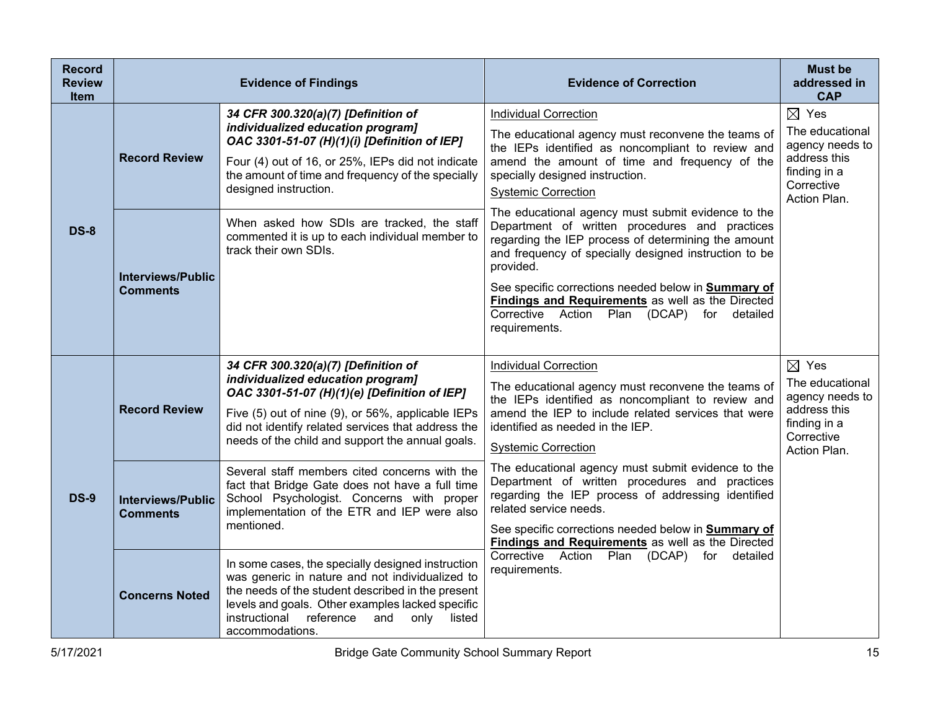| <b>Record</b><br><b>Review</b><br><b>Item</b> |                                             | <b>Evidence of Findings</b>                                                                                                                                                                                                                                                             | <b>Evidence of Correction</b>                                                                                                                                                                                                                                                                                                                                                                                                | <b>Must be</b><br>addressed in<br><b>CAP</b>                                                                        |
|-----------------------------------------------|---------------------------------------------|-----------------------------------------------------------------------------------------------------------------------------------------------------------------------------------------------------------------------------------------------------------------------------------------|------------------------------------------------------------------------------------------------------------------------------------------------------------------------------------------------------------------------------------------------------------------------------------------------------------------------------------------------------------------------------------------------------------------------------|---------------------------------------------------------------------------------------------------------------------|
|                                               | <b>Record Review</b>                        | 34 CFR 300.320(a)(7) [Definition of<br>individualized education program]<br>OAC 3301-51-07 (H)(1)(i) [Definition of IEP]<br>Four (4) out of 16, or 25%, IEPs did not indicate<br>the amount of time and frequency of the specially<br>designed instruction.                             | <b>Individual Correction</b><br>The educational agency must reconvene the teams of<br>the IEPs identified as noncompliant to review and<br>amend the amount of time and frequency of the<br>specially designed instruction.<br><b>Systemic Correction</b>                                                                                                                                                                    | $\boxtimes$ Yes<br>The educational<br>agency needs to<br>address this<br>finding in a<br>Corrective<br>Action Plan. |
| <b>DS-8</b>                                   | <b>Interviews/Public</b><br><b>Comments</b> | When asked how SDIs are tracked, the staff<br>commented it is up to each individual member to<br>track their own SDIs.                                                                                                                                                                  | The educational agency must submit evidence to the<br>Department of written procedures and practices<br>regarding the IEP process of determining the amount<br>and frequency of specially designed instruction to be<br>provided.<br>See specific corrections needed below in Summary of<br><b>Findings and Requirements</b> as well as the Directed<br>Corrective Action<br>(DCAP)<br>Plan<br>for detailed<br>requirements. |                                                                                                                     |
| <b>DS-9</b>                                   | <b>Record Review</b>                        | 34 CFR 300.320(a)(7) [Definition of<br>individualized education program]<br>OAC 3301-51-07 (H)(1)(e) [Definition of IEP]<br>Five (5) out of nine (9), or 56%, applicable IEPs<br>did not identify related services that address the<br>needs of the child and support the annual goals. | <b>Individual Correction</b><br>The educational agency must reconvene the teams of<br>the IEPs identified as noncompliant to review and<br>amend the IEP to include related services that were<br>identified as needed in the IEP.<br><b>Systemic Correction</b>                                                                                                                                                             | $\boxtimes$ Yes<br>The educational<br>agency needs to<br>address this<br>finding in a<br>Corrective<br>Action Plan. |
|                                               | <b>Interviews/Public</b><br><b>Comments</b> | Several staff members cited concerns with the<br>fact that Bridge Gate does not have a full time<br>School Psychologist. Concerns with proper<br>implementation of the ETR and IEP were also<br>mentioned.                                                                              | The educational agency must submit evidence to the<br>Department of written procedures and practices<br>regarding the IEP process of addressing identified<br>related service needs.<br>See specific corrections needed below in Summary of<br>Findings and Requirements as well as the Directed                                                                                                                             |                                                                                                                     |
|                                               | <b>Concerns Noted</b>                       | In some cases, the specially designed instruction<br>was generic in nature and not individualized to<br>the needs of the student described in the present<br>levels and goals. Other examples lacked specific<br>instructional reference<br>and<br>only<br>listed<br>accommodations.    | Corrective Action<br>Plan<br>(DCAP)<br>for detailed<br>requirements.                                                                                                                                                                                                                                                                                                                                                         |                                                                                                                     |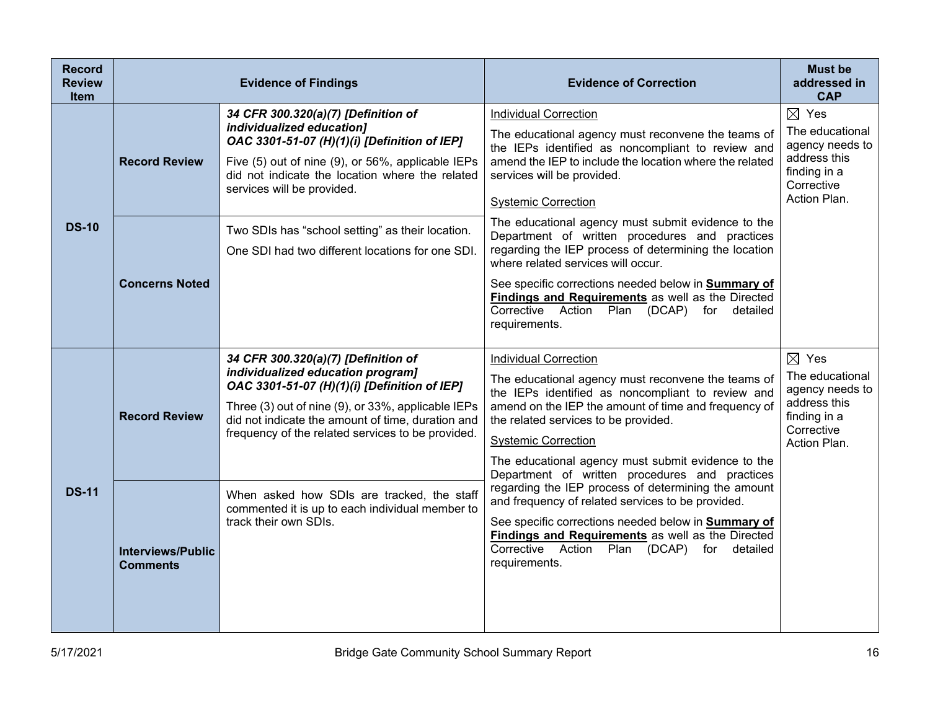| <b>Record</b><br><b>Review</b><br><b>Item</b> | <b>Evidence of Findings</b>                 |                                                                                                                                                                                                                                                                                          | <b>Evidence of Correction</b>                                                                                                                                                                                                                                                                                                                                                         | <b>Must be</b><br>addressed in<br><b>CAP</b>                                                                        |
|-----------------------------------------------|---------------------------------------------|------------------------------------------------------------------------------------------------------------------------------------------------------------------------------------------------------------------------------------------------------------------------------------------|---------------------------------------------------------------------------------------------------------------------------------------------------------------------------------------------------------------------------------------------------------------------------------------------------------------------------------------------------------------------------------------|---------------------------------------------------------------------------------------------------------------------|
| <b>DS-10</b>                                  | <b>Record Review</b>                        | 34 CFR 300.320(a)(7) [Definition of<br>individualized education]<br>OAC 3301-51-07 (H)(1)(i) [Definition of IEP]<br>Five (5) out of nine (9), or 56%, applicable IEPs<br>did not indicate the location where the related<br>services will be provided.                                   | <b>Individual Correction</b><br>The educational agency must reconvene the teams of<br>the IEPs identified as noncompliant to review and<br>amend the IEP to include the location where the related<br>services will be provided.<br><b>Systemic Correction</b>                                                                                                                        | $\boxtimes$ Yes<br>The educational<br>agency needs to<br>address this<br>finding in a<br>Corrective<br>Action Plan. |
|                                               | <b>Concerns Noted</b>                       | Two SDIs has "school setting" as their location.<br>One SDI had two different locations for one SDI.                                                                                                                                                                                     | The educational agency must submit evidence to the<br>Department of written procedures and practices<br>regarding the IEP process of determining the location<br>where related services will occur.<br>See specific corrections needed below in Summary of<br><b>Findings and Requirements</b> as well as the Directed<br>Corrective Action Plan (DCAP) for detailed<br>requirements. |                                                                                                                     |
| <b>DS-11</b>                                  | <b>Record Review</b>                        | 34 CFR 300.320(a)(7) [Definition of<br>individualized education program]<br>OAC 3301-51-07 (H)(1)(i) [Definition of IEP]<br>Three (3) out of nine (9), or 33%, applicable IEPs<br>did not indicate the amount of time, duration and<br>frequency of the related services to be provided. | <b>Individual Correction</b><br>The educational agency must reconvene the teams of<br>the IEPs identified as noncompliant to review and<br>amend on the IEP the amount of time and frequency of<br>the related services to be provided.<br><b>Systemic Correction</b><br>The educational agency must submit evidence to the<br>Department of written procedures and practices         | $\boxtimes$ Yes<br>The educational<br>agency needs to<br>address this<br>finding in a<br>Corrective<br>Action Plan. |
|                                               | <b>Interviews/Public</b><br><b>Comments</b> | When asked how SDIs are tracked, the staff<br>commented it is up to each individual member to<br>track their own SDIs.                                                                                                                                                                   | regarding the IEP process of determining the amount<br>and frequency of related services to be provided.<br>See specific corrections needed below in Summary of<br><b>Findings and Requirements</b> as well as the Directed<br>Corrective Action Plan (DCAP) for detailed<br>requirements.                                                                                            |                                                                                                                     |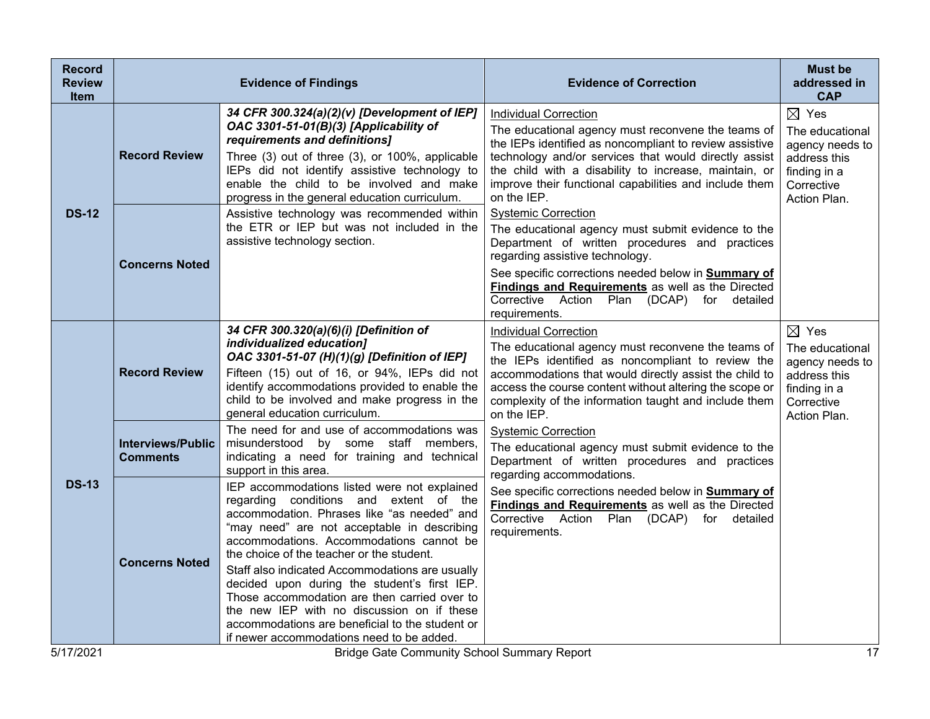| <b>Record</b><br><b>Review</b><br>Item                                | <b>Evidence of Findings</b>                 |                                                                                                                                                                                                                                                                                                                                                                                                                                                                                                                                                                                | <b>Evidence of Correction</b>                                                                                                                                                                                                                                                                                                                                  | <b>Must be</b><br>addressed in<br><b>CAP</b>                                                                        |
|-----------------------------------------------------------------------|---------------------------------------------|--------------------------------------------------------------------------------------------------------------------------------------------------------------------------------------------------------------------------------------------------------------------------------------------------------------------------------------------------------------------------------------------------------------------------------------------------------------------------------------------------------------------------------------------------------------------------------|----------------------------------------------------------------------------------------------------------------------------------------------------------------------------------------------------------------------------------------------------------------------------------------------------------------------------------------------------------------|---------------------------------------------------------------------------------------------------------------------|
| <b>DS-12</b>                                                          | <b>Record Review</b>                        | 34 CFR 300.324(a)(2)(v) [Development of IEP]<br>OAC 3301-51-01(B)(3) [Applicability of<br>requirements and definitions]<br>Three (3) out of three (3), or 100%, applicable<br>IEPs did not identify assistive technology to<br>enable the child to be involved and make<br>progress in the general education curriculum.                                                                                                                                                                                                                                                       | <b>Individual Correction</b><br>The educational agency must reconvene the teams of<br>the IEPs identified as noncompliant to review assistive<br>technology and/or services that would directly assist<br>the child with a disability to increase, maintain, or<br>improve their functional capabilities and include them<br>on the IEP.                       | $\boxtimes$ Yes<br>The educational<br>agency needs to<br>address this<br>finding in a<br>Corrective<br>Action Plan. |
|                                                                       | <b>Concerns Noted</b>                       | Assistive technology was recommended within<br>the ETR or IEP but was not included in the<br>assistive technology section.                                                                                                                                                                                                                                                                                                                                                                                                                                                     | <b>Systemic Correction</b><br>The educational agency must submit evidence to the<br>Department of written procedures and practices<br>regarding assistive technology.<br>See specific corrections needed below in <b>Summary of</b><br><b>Findings and Requirements</b> as well as the Directed<br>Corrective Action Plan (DCAP) for detailed<br>requirements. |                                                                                                                     |
| <b>DS-13</b>                                                          | <b>Record Review</b>                        | 34 CFR 300.320(a)(6)(i) [Definition of<br>individualized education]<br>OAC 3301-51-07 (H)(1)(g) [Definition of IEP]<br>Fifteen (15) out of 16, or 94%, IEPs did not<br>identify accommodations provided to enable the<br>child to be involved and make progress in the<br>general education curriculum.                                                                                                                                                                                                                                                                        | <b>Individual Correction</b><br>The educational agency must reconvene the teams of<br>the IEPs identified as noncompliant to review the<br>accommodations that would directly assist the child to<br>access the course content without altering the scope or<br>complexity of the information taught and include them<br>on the IEP.                           | $\boxtimes$ Yes<br>The educational<br>agency needs to<br>address this<br>finding in a<br>Corrective<br>Action Plan. |
|                                                                       | <b>Interviews/Public</b><br><b>Comments</b> | The need for and use of accommodations was<br>misunderstood by some staff members,<br>indicating a need for training and technical<br>support in this area.                                                                                                                                                                                                                                                                                                                                                                                                                    | <b>Systemic Correction</b><br>The educational agency must submit evidence to the<br>Department of written procedures and practices<br>regarding accommodations.                                                                                                                                                                                                |                                                                                                                     |
|                                                                       | <b>Concerns Noted</b>                       | IEP accommodations listed were not explained<br>regarding conditions and extent of the<br>accommodation. Phrases like "as needed" and<br>"may need" are not acceptable in describing<br>accommodations. Accommodations cannot be<br>the choice of the teacher or the student.<br>Staff also indicated Accommodations are usually<br>decided upon during the student's first IEP.<br>Those accommodation are then carried over to<br>the new IEP with no discussion on if these<br>accommodations are beneficial to the student or<br>if newer accommodations need to be added. | See specific corrections needed below in <b>Summary of</b><br>Findings and Requirements as well as the Directed<br>Corrective Action Plan (DCAP) for detailed<br>requirements.                                                                                                                                                                                 |                                                                                                                     |
| 5/17/2021<br>17<br><b>Bridge Gate Community School Summary Report</b> |                                             |                                                                                                                                                                                                                                                                                                                                                                                                                                                                                                                                                                                |                                                                                                                                                                                                                                                                                                                                                                |                                                                                                                     |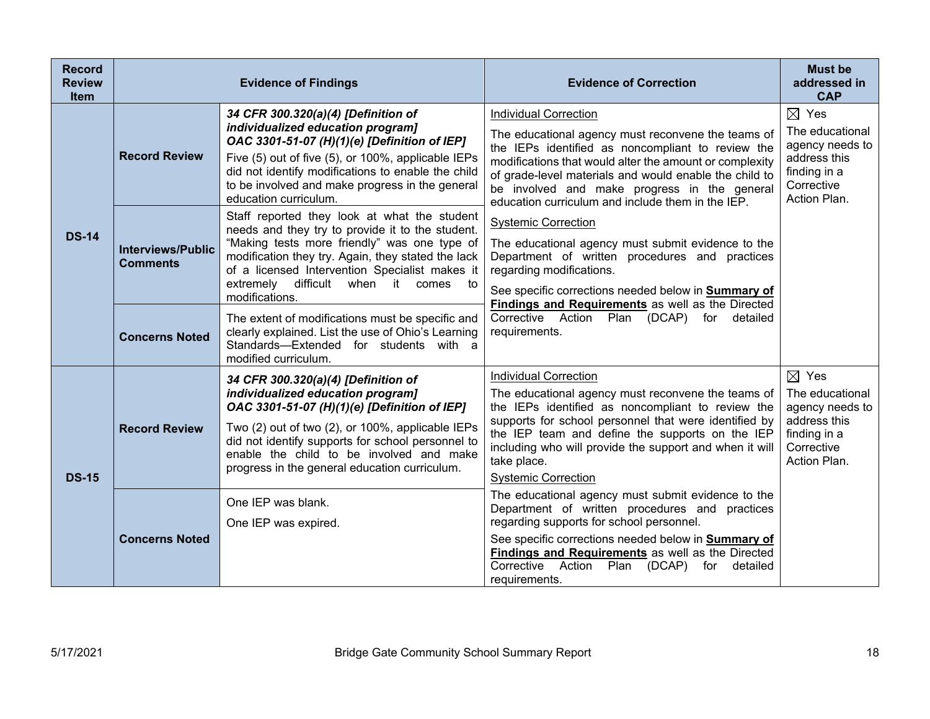| <b>Record</b><br><b>Review</b><br><b>Item</b> | <b>Evidence of Findings</b>                 |                                                                                                                                                                                                                                                                                                                                | <b>Evidence of Correction</b>                                                                                                                                                                                                                                                                                                                                     | <b>Must be</b><br>addressed in<br><b>CAP</b>                                                                        |
|-----------------------------------------------|---------------------------------------------|--------------------------------------------------------------------------------------------------------------------------------------------------------------------------------------------------------------------------------------------------------------------------------------------------------------------------------|-------------------------------------------------------------------------------------------------------------------------------------------------------------------------------------------------------------------------------------------------------------------------------------------------------------------------------------------------------------------|---------------------------------------------------------------------------------------------------------------------|
| <b>DS-14</b>                                  | <b>Record Review</b>                        | 34 CFR 300.320(a)(4) [Definition of<br>individualized education program]<br>OAC 3301-51-07 (H)(1)(e) [Definition of IEP]<br>Five (5) out of five (5), or 100%, applicable IEPs<br>did not identify modifications to enable the child<br>to be involved and make progress in the general<br>education curriculum.               | <b>Individual Correction</b><br>The educational agency must reconvene the teams of<br>the IEPs identified as noncompliant to review the<br>modifications that would alter the amount or complexity<br>of grade-level materials and would enable the child to<br>be involved and make progress in the general<br>education curriculum and include them in the IEP. | $\boxtimes$ Yes<br>The educational<br>agency needs to<br>address this<br>finding in a<br>Corrective<br>Action Plan. |
|                                               | <b>Interviews/Public</b><br><b>Comments</b> | Staff reported they look at what the student<br>needs and they try to provide it to the student.<br>"Making tests more friendly" was one type of<br>modification they try. Again, they stated the lack<br>of a licensed Intervention Specialist makes it<br>extremely<br>difficult<br>when it<br>comes<br>to<br>modifications. | <b>Systemic Correction</b><br>The educational agency must submit evidence to the<br>Department of written procedures and practices<br>regarding modifications.<br>See specific corrections needed below in Summary of<br>Findings and Requirements as well as the Directed                                                                                        |                                                                                                                     |
|                                               | <b>Concerns Noted</b>                       | The extent of modifications must be specific and<br>clearly explained. List the use of Ohio's Learning<br>Standards-Extended for students with a<br>modified curriculum.                                                                                                                                                       | Corrective Action Plan (DCAP) for detailed<br>requirements.                                                                                                                                                                                                                                                                                                       |                                                                                                                     |
| <b>DS-15</b>                                  | <b>Record Review</b>                        | 34 CFR 300.320(a)(4) [Definition of<br>individualized education program]<br>OAC 3301-51-07 (H)(1)(e) [Definition of IEP]<br>Two (2) out of two (2), or 100%, applicable IEPs<br>did not identify supports for school personnel to<br>enable the child to be involved and make<br>progress in the general education curriculum. | <b>Individual Correction</b><br>The educational agency must reconvene the teams of<br>the IEPs identified as noncompliant to review the<br>supports for school personnel that were identified by<br>the IEP team and define the supports on the IEP<br>including who will provide the support and when it will<br>take place.<br><b>Systemic Correction</b>       | $\boxtimes$ Yes<br>The educational<br>agency needs to<br>address this<br>finding in a<br>Corrective<br>Action Plan. |
|                                               | <b>Concerns Noted</b>                       | One IEP was blank.<br>One IEP was expired.                                                                                                                                                                                                                                                                                     | The educational agency must submit evidence to the<br>Department of written procedures and practices<br>regarding supports for school personnel.<br>See specific corrections needed below in Summary of<br>Findings and Requirements as well as the Directed<br>Corrective Action<br>Plan (DCAP)<br>for detailed<br>requirements.                                 |                                                                                                                     |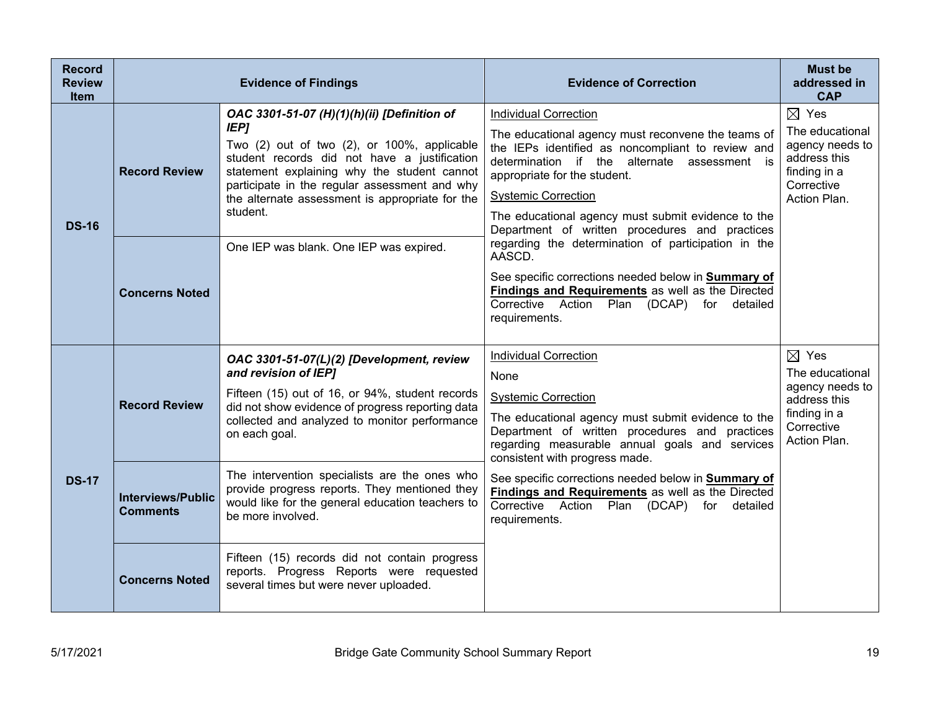| <b>Record</b><br><b>Review</b><br><b>Item</b> | <b>Evidence of Findings</b>                 |                                                                                                                                                                                                                                                                                                                          | <b>Evidence of Correction</b>                                                                                                                                                                                                                                                                                                                                 | <b>Must be</b><br>addressed in<br><b>CAP</b>                                                                        |
|-----------------------------------------------|---------------------------------------------|--------------------------------------------------------------------------------------------------------------------------------------------------------------------------------------------------------------------------------------------------------------------------------------------------------------------------|---------------------------------------------------------------------------------------------------------------------------------------------------------------------------------------------------------------------------------------------------------------------------------------------------------------------------------------------------------------|---------------------------------------------------------------------------------------------------------------------|
| <b>DS-16</b>                                  | <b>Record Review</b>                        | OAC 3301-51-07 (H)(1)(h)(ii) [Definition of<br><b>IEP]</b><br>Two (2) out of two (2), or 100%, applicable<br>student records did not have a justification<br>statement explaining why the student cannot<br>participate in the regular assessment and why<br>the alternate assessment is appropriate for the<br>student. | <b>Individual Correction</b><br>The educational agency must reconvene the teams of<br>the IEPs identified as noncompliant to review and<br>determination if the alternate assessment is<br>appropriate for the student.<br><b>Systemic Correction</b><br>The educational agency must submit evidence to the<br>Department of written procedures and practices | $\boxtimes$ Yes<br>The educational<br>agency needs to<br>address this<br>finding in a<br>Corrective<br>Action Plan. |
|                                               | <b>Concerns Noted</b>                       | One IEP was blank. One IEP was expired.                                                                                                                                                                                                                                                                                  | regarding the determination of participation in the<br>AASCD.<br>See specific corrections needed below in <b>Summary of</b><br><b>Findings and Requirements</b> as well as the Directed<br>Corrective Action<br>Plan<br>(DCAP) for detailed<br>requirements.                                                                                                  |                                                                                                                     |
| <b>DS-17</b>                                  | <b>Record Review</b>                        | OAC 3301-51-07(L)(2) [Development, review<br>and revision of IEP]<br>Fifteen (15) out of 16, or 94%, student records<br>did not show evidence of progress reporting data<br>collected and analyzed to monitor performance<br>on each goal.                                                                               | <b>Individual Correction</b><br>None<br><b>Systemic Correction</b><br>The educational agency must submit evidence to the<br>Department of written procedures and practices<br>regarding measurable annual goals and services<br>consistent with progress made.                                                                                                | $\boxtimes$ Yes<br>The educational<br>agency needs to<br>address this<br>finding in a<br>Corrective<br>Action Plan. |
|                                               | <b>Interviews/Public</b><br><b>Comments</b> | The intervention specialists are the ones who<br>provide progress reports. They mentioned they<br>would like for the general education teachers to<br>be more involved.                                                                                                                                                  | See specific corrections needed below in Summary of<br>Findings and Requirements as well as the Directed<br>Corrective Action<br>Plan<br>(DCAP)<br>for detailed<br>requirements.                                                                                                                                                                              |                                                                                                                     |
|                                               | <b>Concerns Noted</b>                       | Fifteen (15) records did not contain progress<br>reports. Progress Reports were requested<br>several times but were never uploaded.                                                                                                                                                                                      |                                                                                                                                                                                                                                                                                                                                                               |                                                                                                                     |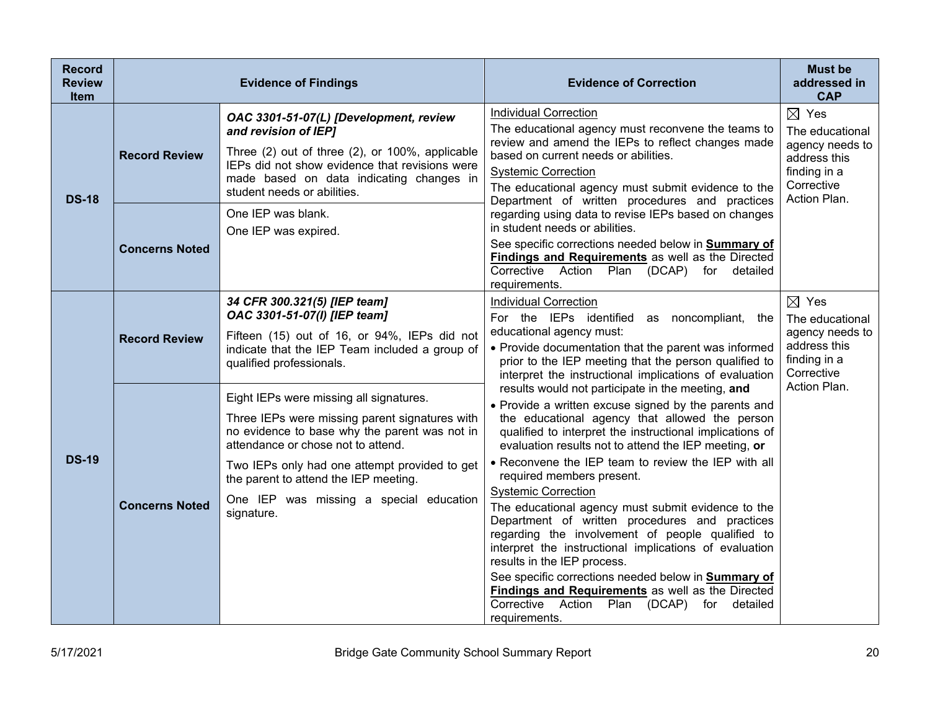| <b>Record</b><br><b>Review</b><br><b>Item</b> |                       | <b>Evidence of Findings</b>                                                                                                                                                                                                                                                                                                         | <b>Evidence of Correction</b>                                                                                                                                                                                                                                                                                                                                                                                                                                                                                                                                                                                                                                                                                                                                                                                                     | <b>Must be</b><br>addressed in<br><b>CAP</b>                                                                        |
|-----------------------------------------------|-----------------------|-------------------------------------------------------------------------------------------------------------------------------------------------------------------------------------------------------------------------------------------------------------------------------------------------------------------------------------|-----------------------------------------------------------------------------------------------------------------------------------------------------------------------------------------------------------------------------------------------------------------------------------------------------------------------------------------------------------------------------------------------------------------------------------------------------------------------------------------------------------------------------------------------------------------------------------------------------------------------------------------------------------------------------------------------------------------------------------------------------------------------------------------------------------------------------------|---------------------------------------------------------------------------------------------------------------------|
| <b>DS-18</b>                                  | <b>Record Review</b>  | OAC 3301-51-07(L) [Development, review<br>and revision of IEP1<br>Three (2) out of three (2), or 100%, applicable<br>IEPs did not show evidence that revisions were<br>made based on data indicating changes in<br>student needs or abilities.                                                                                      | <b>Individual Correction</b><br>The educational agency must reconvene the teams to<br>review and amend the IEPs to reflect changes made<br>based on current needs or abilities.<br><b>Systemic Correction</b><br>The educational agency must submit evidence to the<br>Department of written procedures and practices                                                                                                                                                                                                                                                                                                                                                                                                                                                                                                             | $\boxtimes$ Yes<br>The educational<br>agency needs to<br>address this<br>finding in a<br>Corrective<br>Action Plan. |
|                                               | <b>Concerns Noted</b> | One IEP was blank.<br>One IEP was expired.                                                                                                                                                                                                                                                                                          | regarding using data to revise IEPs based on changes<br>in student needs or abilities.<br>See specific corrections needed below in Summary of<br>Findings and Requirements as well as the Directed<br>Corrective Action<br>Plan<br>(DCAP) for detailed<br>requirements.                                                                                                                                                                                                                                                                                                                                                                                                                                                                                                                                                           |                                                                                                                     |
| <b>DS-19</b>                                  | <b>Record Review</b>  | 34 CFR 300.321(5) [IEP team]<br>OAC 3301-51-07(I) [IEP team]<br>Fifteen (15) out of 16, or 94%, IEPs did not<br>indicate that the IEP Team included a group of<br>qualified professionals.                                                                                                                                          | <b>Individual Correction</b><br>For the IEPs identified<br>as noncompliant, the<br>educational agency must:<br>• Provide documentation that the parent was informed<br>prior to the IEP meeting that the person qualified to<br>interpret the instructional implications of evaluation                                                                                                                                                                                                                                                                                                                                                                                                                                                                                                                                            | $\boxtimes$ Yes<br>The educational<br>agency needs to<br>address this<br>finding in a<br>Corrective                 |
|                                               | <b>Concerns Noted</b> | Eight IEPs were missing all signatures.<br>Three IEPs were missing parent signatures with<br>no evidence to base why the parent was not in<br>attendance or chose not to attend.<br>Two IEPs only had one attempt provided to get<br>the parent to attend the IEP meeting.<br>One IEP was missing a special education<br>signature. | results would not participate in the meeting, and<br>• Provide a written excuse signed by the parents and<br>the educational agency that allowed the person<br>qualified to interpret the instructional implications of<br>evaluation results not to attend the IEP meeting, or<br>• Reconvene the IEP team to review the IEP with all<br>required members present.<br><b>Systemic Correction</b><br>The educational agency must submit evidence to the<br>Department of written procedures and practices<br>regarding the involvement of people qualified to<br>interpret the instructional implications of evaluation<br>results in the IEP process.<br>See specific corrections needed below in Summary of<br>Findings and Requirements as well as the Directed<br>Corrective Action Plan (DCAP) for detailed<br>requirements. | Action Plan.                                                                                                        |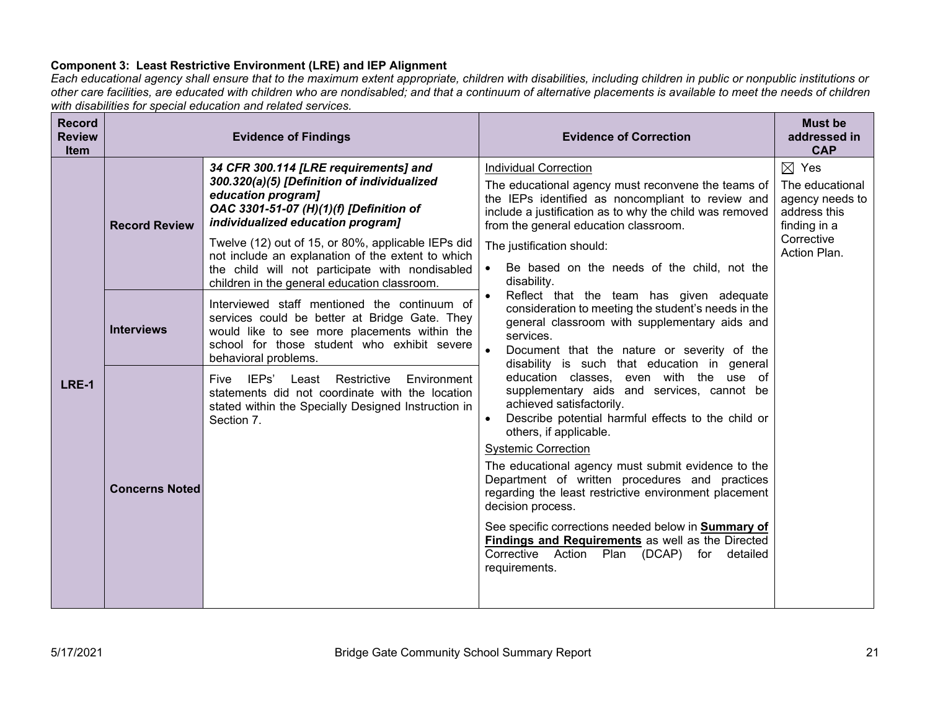# **Component 3: Least Restrictive Environment (LRE) and IEP Alignment**

*Each educational agency shall ensure that to the maximum extent appropriate, children with disabilities, including children in public or nonpublic institutions or other care facilities, are educated with children who are nondisabled; and that a continuum of alternative placements is available to meet the needs of children with disabilities for special education and related services.*

| <b>Record</b><br><b>Review</b><br><b>Item</b> | <b>Evidence of Findings</b> |                                                                                                                                                                                                                      | <b>Evidence of Correction</b>                                                                                                                                                                                                                                                                      | <b>Must be</b><br>addressed in<br><b>CAP</b>                                          |
|-----------------------------------------------|-----------------------------|----------------------------------------------------------------------------------------------------------------------------------------------------------------------------------------------------------------------|----------------------------------------------------------------------------------------------------------------------------------------------------------------------------------------------------------------------------------------------------------------------------------------------------|---------------------------------------------------------------------------------------|
| LRE-1                                         | <b>Record Review</b>        | 34 CFR 300.114 [LRE requirements] and<br>300.320(a)(5) [Definition of individualized<br>education program]<br>OAC 3301-51-07 (H)(1)(f) [Definition of<br>individualized education program]                           | <b>Individual Correction</b><br>The educational agency must reconvene the teams of<br>the IEPs identified as noncompliant to review and<br>include a justification as to why the child was removed<br>from the general education classroom.                                                        | $\boxtimes$ Yes<br>The educational<br>agency needs to<br>address this<br>finding in a |
|                                               |                             | Twelve (12) out of 15, or 80%, applicable IEPs did<br>not include an explanation of the extent to which<br>the child will not participate with nondisabled<br>children in the general education classroom.           | The justification should:<br>Be based on the needs of the child, not the<br>disability.                                                                                                                                                                                                            | Corrective<br>Action Plan.                                                            |
|                                               | <b>Interviews</b>           | Interviewed staff mentioned the continuum of<br>services could be better at Bridge Gate. They<br>would like to see more placements within the<br>school for those student who exhibit severe<br>behavioral problems. | Reflect that the team has given adequate<br>consideration to meeting the student's needs in the<br>general classroom with supplementary aids and<br>services.<br>Document that the nature or severity of the<br>disability is such that education in general                                       |                                                                                       |
|                                               |                             | Environment<br>Five IEPs'<br>Restrictive<br>Least<br>statements did not coordinate with the location<br>stated within the Specially Designed Instruction in<br>Section 7.                                            | education classes, even with the use of<br>supplementary aids and services, cannot be<br>achieved satisfactorily.<br>Describe potential harmful effects to the child or<br>$\bullet$<br>others, if applicable.<br><b>Systemic Correction</b><br>The educational agency must submit evidence to the |                                                                                       |
|                                               | <b>Concerns Noted</b>       |                                                                                                                                                                                                                      | Department of written procedures and practices<br>regarding the least restrictive environment placement<br>decision process.                                                                                                                                                                       |                                                                                       |
|                                               |                             |                                                                                                                                                                                                                      | See specific corrections needed below in <b>Summary of</b><br><b>Findings and Requirements</b> as well as the Directed<br>Corrective Action Plan (DCAP) for detailed<br>requirements.                                                                                                              |                                                                                       |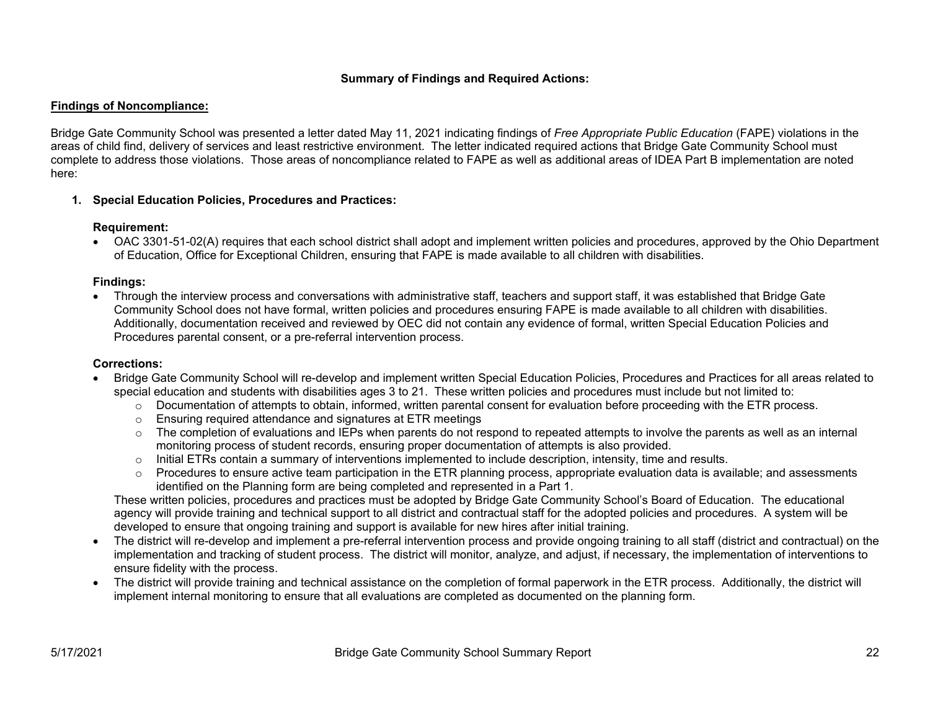# **Summary of Findings and Required Actions:**

### **Findings of Noncompliance:**

Bridge Gate Community School was presented a letter dated May 11, 2021 indicating findings of *Free Appropriate Public Education* (FAPE) violations in the areas of child find, delivery of services and least restrictive environment. The letter indicated required actions that Bridge Gate Community School must complete to address those violations. Those areas of noncompliance related to FAPE as well as additional areas of IDEA Part B implementation are noted here:

# **1. Special Education Policies, Procedures and Practices:**

# **Requirement:**

• OAC 3301-51-02(A) requires that each school district shall adopt and implement written policies and procedures, approved by the Ohio Department of Education, Office for Exceptional Children, ensuring that FAPE is made available to all children with disabilities.

# **Findings:**

• Through the interview process and conversations with administrative staff, teachers and support staff, it was established that Bridge Gate Community School does not have formal, written policies and procedures ensuring FAPE is made available to all children with disabilities. Additionally, documentation received and reviewed by OEC did not contain any evidence of formal, written Special Education Policies and Procedures parental consent, or a pre-referral intervention process.

# **Corrections:**

- Bridge Gate Community School will re-develop and implement written Special Education Policies, Procedures and Practices for all areas related to special education and students with disabilities ages 3 to 21. These written policies and procedures must include but not limited to:
	- $\circ$  Documentation of attempts to obtain, informed, written parental consent for evaluation before proceeding with the ETR process.
	- o Ensuring required attendance and signatures at ETR meetings
	- $\circ$  The completion of evaluations and IEPs when parents do not respond to repeated attempts to involve the parents as well as an internal monitoring process of student records, ensuring proper documentation of attempts is also provided.
	- $\circ$  Initial ETRs contain a summary of interventions implemented to include description, intensity, time and results.
	- $\circ$  Procedures to ensure active team participation in the ETR planning process, appropriate evaluation data is available; and assessments identified on the Planning form are being completed and represented in a Part 1.

These written policies, procedures and practices must be adopted by Bridge Gate Community School's Board of Education. The educational agency will provide training and technical support to all district and contractual staff for the adopted policies and procedures. A system will be developed to ensure that ongoing training and support is available for new hires after initial training.

- The district will re-develop and implement a pre-referral intervention process and provide ongoing training to all staff (district and contractual) on the implementation and tracking of student process. The district will monitor, analyze, and adjust, if necessary, the implementation of interventions to ensure fidelity with the process.
- The district will provide training and technical assistance on the completion of formal paperwork in the ETR process. Additionally, the district will implement internal monitoring to ensure that all evaluations are completed as documented on the planning form.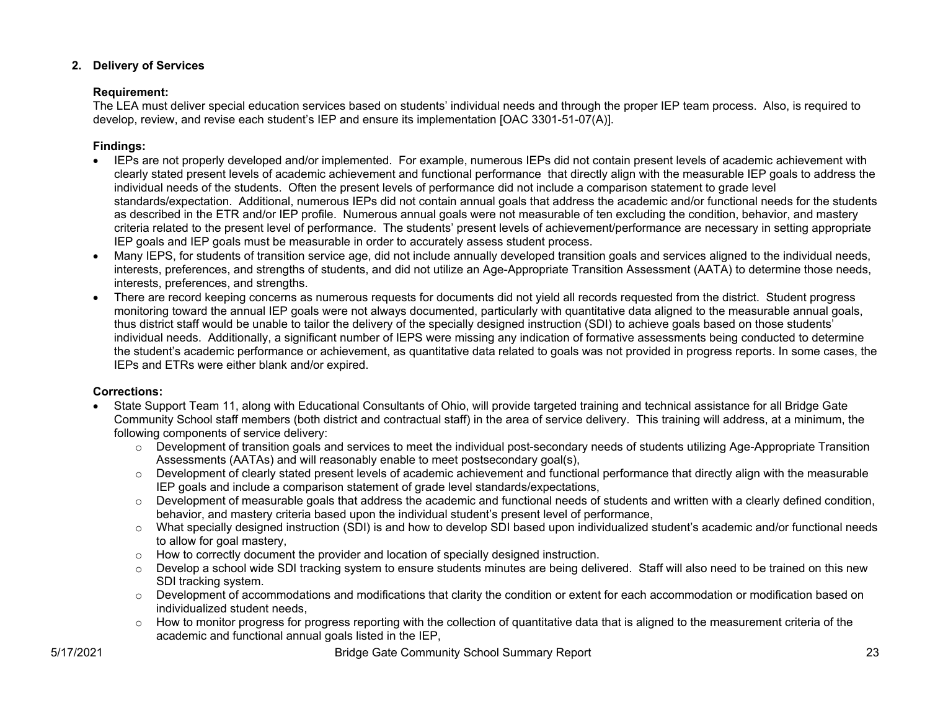# **2. Delivery of Services**

# **Requirement:**

The LEA must deliver special education services based on students' individual needs and through the proper IEP team process. Also, is required to develop, review, and revise each student's IEP and ensure its implementation [OAC 3301-51-07(A)].

# **Findings:**

- IEPs are not properly developed and/or implemented. For example, numerous IEPs did not contain present levels of academic achievement with clearly stated present levels of academic achievement and functional performance that directly align with the measurable IEP goals to address the individual needs of the students. Often the present levels of performance did not include a comparison statement to grade level standards/expectation. Additional, numerous IEPs did not contain annual goals that address the academic and/or functional needs for the students as described in the ETR and/or IEP profile. Numerous annual goals were not measurable of ten excluding the condition, behavior, and mastery criteria related to the present level of performance. The students' present levels of achievement/performance are necessary in setting appropriate IEP goals and IEP goals must be measurable in order to accurately assess student process.
- Many IEPS, for students of transition service age, did not include annually developed transition goals and services aligned to the individual needs, interests, preferences, and strengths of students, and did not utilize an Age-Appropriate Transition Assessment (AATA) to determine those needs, interests, preferences, and strengths.
- There are record keeping concerns as numerous requests for documents did not yield all records requested from the district. Student progress monitoring toward the annual IEP goals were not always documented, particularly with quantitative data aligned to the measurable annual goals, thus district staff would be unable to tailor the delivery of the specially designed instruction (SDI) to achieve goals based on those students' individual needs. Additionally, a significant number of IEPS were missing any indication of formative assessments being conducted to determine the student's academic performance or achievement, as quantitative data related to goals was not provided in progress reports. In some cases, the IEPs and ETRs were either blank and/or expired.

# **Corrections:**

- State Support Team 11, along with Educational Consultants of Ohio, will provide targeted training and technical assistance for all Bridge Gate Community School staff members (both district and contractual staff) in the area of service delivery. This training will address, at a minimum, the following components of service delivery:
	- $\circ$  Development of transition goals and services to meet the individual post-secondary needs of students utilizing Age-Appropriate Transition Assessments (AATAs) and will reasonably enable to meet postsecondary goal(s),
	- $\circ$  Development of clearly stated present levels of academic achievement and functional performance that directly align with the measurable IEP goals and include a comparison statement of grade level standards/expectations,
	- $\circ$  Development of measurable goals that address the academic and functional needs of students and written with a clearly defined condition, behavior, and mastery criteria based upon the individual student's present level of performance,
	- $\circ$  What specially designed instruction (SDI) is and how to develop SDI based upon individualized student's academic and/or functional needs to allow for goal mastery,
	- $\circ$  How to correctly document the provider and location of specially designed instruction.
	- $\circ$  Develop a school wide SDI tracking system to ensure students minutes are being delivered. Staff will also need to be trained on this new SDI tracking system.
	- o Development of accommodations and modifications that clarity the condition or extent for each accommodation or modification based on individualized student needs,
	- $\circ$  How to monitor progress for progress reporting with the collection of quantitative data that is aligned to the measurement criteria of the academic and functional annual goals listed in the IEP,